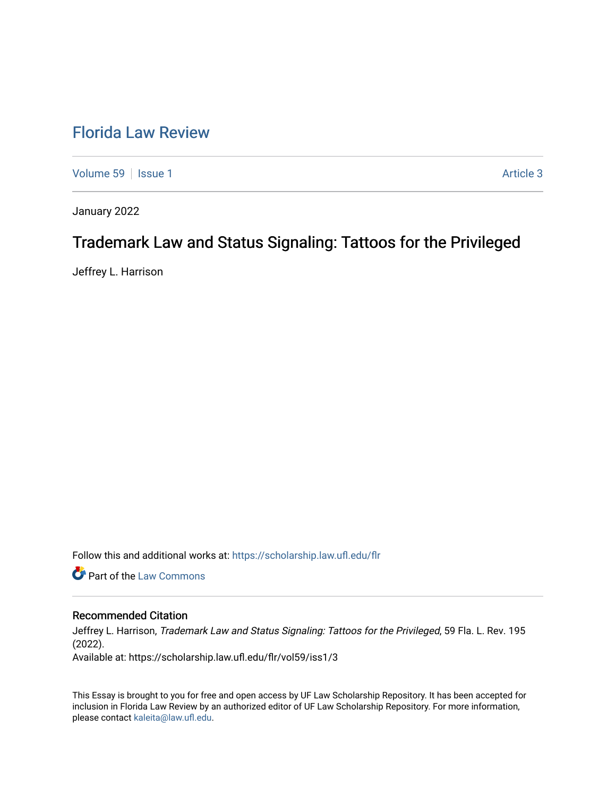# [Florida Law Review](https://scholarship.law.ufl.edu/flr)

[Volume 59](https://scholarship.law.ufl.edu/flr/vol59) | [Issue 1](https://scholarship.law.ufl.edu/flr/vol59/iss1) Article 3

January 2022

# Trademark Law and Status Signaling: Tattoos for the Privileged

Jeffrey L. Harrison

Follow this and additional works at: [https://scholarship.law.ufl.edu/flr](https://scholarship.law.ufl.edu/flr?utm_source=scholarship.law.ufl.edu%2Fflr%2Fvol59%2Fiss1%2F3&utm_medium=PDF&utm_campaign=PDFCoverPages)

**Part of the [Law Commons](https://network.bepress.com/hgg/discipline/578?utm_source=scholarship.law.ufl.edu%2Fflr%2Fvol59%2Fiss1%2F3&utm_medium=PDF&utm_campaign=PDFCoverPages)** 

# Recommended Citation

Jeffrey L. Harrison, Trademark Law and Status Signaling: Tattoos for the Privileged, 59 Fla. L. Rev. 195 (2022).

Available at: https://scholarship.law.ufl.edu/flr/vol59/iss1/3

This Essay is brought to you for free and open access by UF Law Scholarship Repository. It has been accepted for inclusion in Florida Law Review by an authorized editor of UF Law Scholarship Repository. For more information, please contact [kaleita@law.ufl.edu](mailto:kaleita@law.ufl.edu).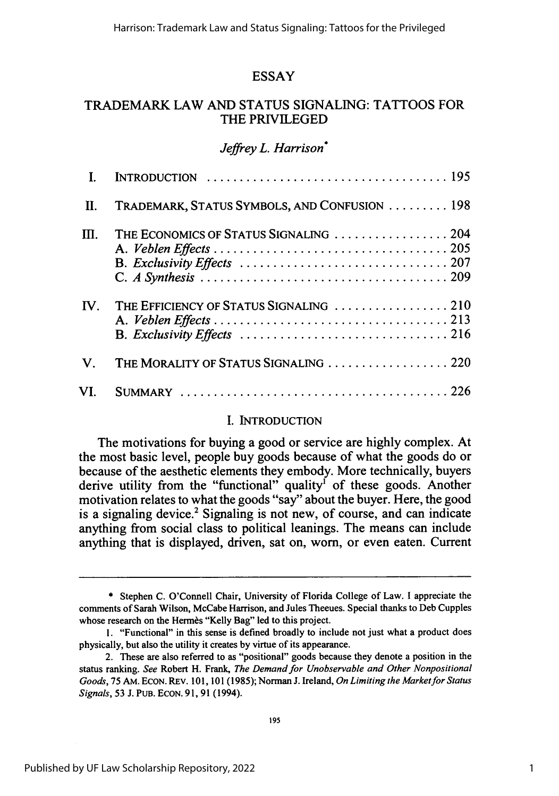# ESSAY

# TRADEMARK LAW AND STATUS SIGNALING: TATTOOS FOR THE PRIVILEGED

# *Jeffrey L. Harrison'*

| $\mathbf{L}$ |                                                                                                                                               |
|--------------|-----------------------------------------------------------------------------------------------------------------------------------------------|
| Ш.           | TRADEMARK, STATUS SYMBOLS, AND CONFUSION  198                                                                                                 |
| M.           | THE ECONOMICS OF STATUS SIGNALING  204                                                                                                        |
| IV.          | THE EFFICIENCY OF STATUS SIGNALING  210<br>B. Exclusivity Effects $\ldots \ldots \ldots \ldots \ldots \ldots \ldots \ldots \ldots \ldots 216$ |
| $V_{\cdot}$  | THE MORALITY OF STATUS SIGNALING  220                                                                                                         |
| VI.          |                                                                                                                                               |

## **I.** INTRODUCTION

The motivations for buying a good or service are highly complex. At the most basic level, people buy goods because of what the goods do or because of the aesthetic elements they embody. More technically, buyers derive utility from the "functional" quality<sup>1</sup> of these goods. Another motivation relates to what the goods "say" about the buyer. Here, the good is a signaling device.<sup>2</sup> Signaling is not new, of course, and can indicate anything from social class to political leanings. The means can include anything that is displayed, driven, sat on, worn, or even eaten. Current

<sup>\*</sup> Stephen C. O'Connell Chair, University of Florida College of Law. I appreciate the comments of Sarah Wilson, McCabe Harrison, and Jules Theeues. Special thanks to Deb Cupples whose research on the Hermès "Kelly Bag" led to this project.

<sup>1. &</sup>quot;Functional" in this sense is defined broadly to include not just what a product does physically, but also the utility it creates by virtue of its appearance.

<sup>2.</sup> These are also referred to as "positional" goods because they denote a position in the status ranking. *See* Robert H. Frank, *The Demand for Unobservable and Other Nonpositional Goods,* 75 AM. ECON. REV. 101, 101 (1985); Norman J. Ireland, *On Limiting the Market for Status Signals,* 53 J. PuB. ECoN. 91, 91 (1994).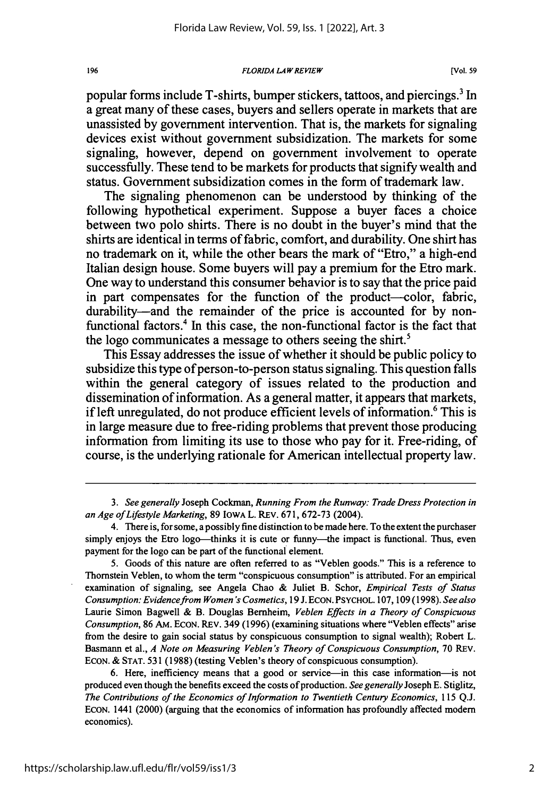#### *FLORIDA LA ' REVIEW*

popular forms include T-shirts, bumper stickers, tattoos, and piercings.3 In a great many of these cases, buyers and sellers operate in markets that are unassisted by government intervention. That is, the markets for signaling devices exist without government subsidization. The markets for some signaling, however, depend on government involvement to operate successfully. These tend to be markets for products that signify wealth and status. Government subsidization comes in the form of trademark law.

The signaling phenomenon can be understood by thinking of the following hypothetical experiment. Suppose a buyer faces a choice between two polo shirts. There is no doubt in the buyer's mind that the shirts are identical in terms of fabric, comfort, and durability. One shirt has no trademark on it, while the other bears the mark of "Etro," a high-end Italian design house. Some buyers will pay a premium for the Etro mark. One way to understand this consumer behavior is to say that the price paid in part compensates for the function of the product-color, fabric, durability—and the remainder of the price is accounted for by nonfunctional factors.<sup>4</sup> In this case, the non-functional factor is the fact that the logo communicates a message to others seeing the shirt.'

This Essay addresses the issue of whether it should be public policy to subsidize this type of person-to-person status signaling. This question falls within the general category of issues related to the production and dissemination of information. As a general matter, it appears that markets, if left unregulated, do not produce efficient levels of information.<sup>6</sup> This is in large measure due to free-riding problems that prevent those producing information from limiting its use to those who pay for it. Free-riding, of course, is the underlying rationale for American intellectual property law.

*3. See generally* Joseph Cockman, *Running From the Runway: Trade Dress Protection in an Age of Lifestyle Marketing,* 89 IOWA L. REV. 671, 672-73 (2004).

<sup>4.</sup> There is, for some, a possibly fine distinction to be made here. To the extent the purchaser simply enjoys the Etro logo—thinks it is cute or funny—the impact is functional. Thus, even payment for the logo can be part of the functional element.

<sup>5.</sup> Goods of this nature are often referred to as "Veblen goods." This is a reference to Thomstein Veblen, to whom the term "conspicuous consumption" is attributed. For an empirical examination of signaling, see Angela Chao & Juliet B. Schor, *Empirical Tests of Status Consumption: Evidencefrom Women's Cosmetics,* 19 J. ECON. PSYCHOL. 107, 109 (1998). *See also* Laurie Simon Bagwell & B. Douglas Bemheim, *Veblen Effects in a Theory of Conspicuous Consumption,* 86 AM. ECON. REV. 349 (1996) (examining situations where "Veblen effects" arise from the desire to gain social status by conspicuous consumption to signal wealth); Robert L. Basmann et al., *A Note on Measuring Veblen's Theory of Conspicuous Consumption,* 70 REV. ECON. & STAT. 531 (1988) (testing Veblen's theory of conspicuous consumption).

<sup>6.</sup> Here, inefficiency means that a good or service-in this case information-is not produced even though the benefits exceed the costs ofproduction. *See generally* Joseph E. Stiglitz, *The Contributions of the Economics of Information to Twentieth Century Economics,* 115 Q.J. ECON. 1441 (2000) (arguing that the economics of information has profoundly affected modem economics).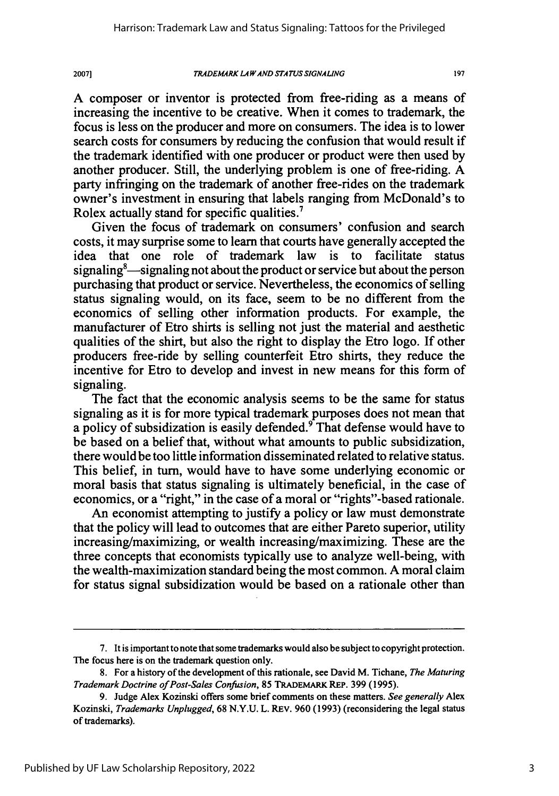*TRADEMARK* **LA PAND** *STATUS* **SIGNALING**

20071

107

A composer or inventor is protected from free-riding as a means of increasing the incentive to be creative. When it comes to trademark, the focus is less on the producer and more on consumers. The idea is to lower search costs for consumers by reducing the confusion that would result if the trademark identified with one producer or product were then used by another producer. Still, the underlying problem is one of free-riding. A party infringing on the trademark of another free-rides on the trademark owner's investment in ensuring that labels ranging from McDonald's to Rolex actually stand for specific qualities.'

Given the focus of trademark on consumers' confusion and search costs, it may surprise some to learn that courts have generally accepted the idea that one role of trademark law is to facilitate status signaling $\delta$ —signaling not about the product or service but about the person purchasing that product or service. Nevertheless, the economics of selling status signaling would, on its face, seem to be no different from the economics of selling other information products. For example, the manufacturer of Etro shirts is selling not just the material and aesthetic qualities of the shirt, but also the right to display the Etro logo. If other producers free-ride by selling counterfeit Etro shirts, they reduce the incentive for Etro to develop and invest in new means for this form of signaling.

The fact that the economic analysis seems to be the same for status signaling as it is for more typical trademark purposes does not mean that a policy of subsidization is easily defended.<sup>9</sup> That defense would have to be based on a belief that, without what amounts to public subsidization, there would be too little information disseminated related to relative status. This belief, in turn, would have to have some underlying economic or moral basis that status signaling is ultimately beneficial, in the case of economics, or a "right," in the case of a moral or "rights"-based rationale.

An economist attempting to justify a policy or law must demonstrate that the policy will lead to outcomes that are either Pareto superior, utility increasing/maximizing, or wealth increasing/maximizing. These are the three concepts that economists typically use to analyze well-being, with the wealth-maximization standard being the most common. A moral claim for status signal subsidization would be based on a rationale other than

<sup>7.</sup> It is important to note that some trademarks would also be subject to copyright protection. The focus here is on the trademark question only.

<sup>8.</sup> For a history of the development of this rationale, see David M. Tichane, *The Maturing Trademark Doctrine of Post-Sales Confusion,* 85 TRADEMARK **REP.** 399 (1995).

<sup>9.</sup> Judge Alex Kozinski offers some brief comments on these matters. *See generally* Alex Kozinski, *Trademarks Unplugged,* 68 N.Y.U. L. REv. 960 (1993) (reconsidering the legal status of trademarks).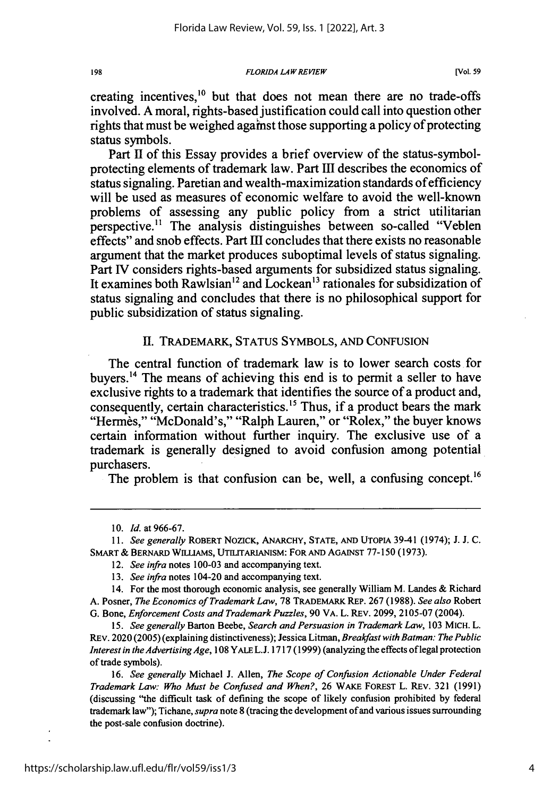*FLORIDA LAWREVIEW*

creating incentives.<sup>10</sup> but that does not mean there are no trade-offs involved. **A** moral, rights-based justification could call into question other rights that must be weighed against those supporting a policy of protecting status symbols.

Part II of this Essay provides a brief overview of the status-symbolprotecting elements of trademark law. Part **III** describes the economics of status signaling. Paretian and wealth-maximization standards of efficiency will be used as measures of economic welfare to avoid the well-known problems of assessing any public policy from a strict utilitarian perspective." The analysis distinguishes between so-called "Veblen effects" and snob effects. Part III concludes that there exists no reasonable argument that the market produces suboptimal levels of status signaling. Part IV considers rights-based arguments for subsidized status signaling. It examines both Rawlsian<sup>12</sup> and Lockean<sup>13</sup> rationales for subsidization of status signaling and concludes that there is no philosophical support for public subsidization of status signaling.

### II. TRADEMARK, STATUS SYMBOLS, AND CONFUSION

The central function of trademark law is to lower search costs for buyers. 4 The means of achieving this end is to permit a seller to have exclusive rights to a trademark that identifies the source of a product and, consequently, certain characteristics.<sup>15</sup> Thus, if a product bears the mark "Hermes," "McDonald's," "Ralph Lauren," or "Rolex," the buyer knows certain information without further inquiry. The exclusive use of a trademark is generally designed to avoid confusion among potential purchasers.

The problem is that confusion can be, well, a confusing concept.<sup>16</sup>

10. *Id.* at 966-67.

11. *See* generally ROBERT NOZICK, ANARCHY, STATE, **AND** UTOPIA 39-41 (1974); J. J. C. SMART & BERNARD WILLIAMS, UTILITARIANISM: FOR AND AGAINST 77-150 (1973).

*15. See generally* Barton Beebe, *Search and Persuasion in Trademark Law,* 103 MICH. L. REV. 2020 (2005) (explaining distinctiveness); Jessica Litman, Breakfast *with Batman: The Public Interest in the Advertising Age,* 108 YALE L.J. 1717 (1999) (analyzing the effects of legal protection of trade symbols).

16. *See* generally Michael **J.** Allen, *The Scope of Confusion Actionable Under Federal Trademark Law: Who Must be Confused and When?,* 26 WAKE FOREST L. REV. 321 (1991) (discussing "the difficult task of defining the scope of likely confusion prohibited **by** federal trademark law"); Tichane, *supra* note **8** (tracing the development of and various issues surrounding the post-sale confusion doctrine).

198

<sup>12.</sup> *See* infra notes 100-03 and accompanying text.

<sup>13.</sup> See infra notes 104-20 and accompanying text.

<sup>14.</sup> For the most thorough economic analysis, see generally William M. Landes **&** Richard A. Posner, *The Economics of Trademark Law,* 78 TRADEMARK REP. 267 (1988). *See also* Robert G. Bone, *Enforcement Costs and Trademark Puzzles,* 90 VA. L. REV. 2099, 2105-07 (2004).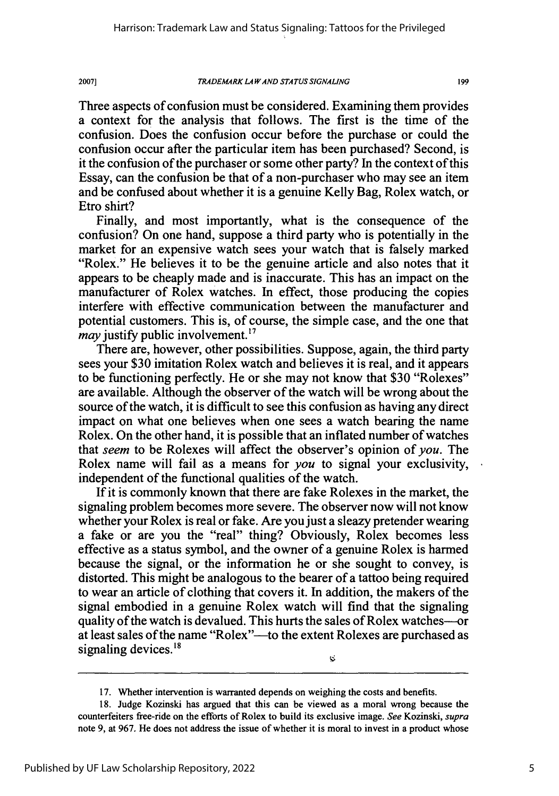### *TRADEMARK LA WAND STATUS SIGNALING*

199

Three aspects of confusion must be considered. Examining them provides a context for the analysis that follows. The first is the time of the confusion. Does the confusion occur before the purchase or could the confusion occur after the particular item has been purchased? Second, is it the confusion of the purchaser or some other party? In the context of this Essay, can the confusion be that of a non-purchaser who may see an item and be confused about whether it is a genuine Kelly Bag, Rolex watch, or Etro shirt?

Finally, and most importantly, what is the consequence of the confusion? On one hand, suppose a third party who is potentially in the market for an expensive watch sees your watch that is falsely marked "Rolex." He believes it to be the genuine article and also notes that it appears to be cheaply made and is inaccurate. This has an impact on the manufacturer of Rolex watches. In effect, those producing the copies interfere with effective communication between the manufacturer and potential customers. This is, of course, the simple case, and the one that *may* justify public involvement.<sup>17</sup>

There are, however, other possibilities. Suppose, again, the third party sees your \$30 imitation Rolex watch and believes it is real, and it appears to be functioning perfectly. He or she may not know that \$30 "Rolexes" are available. Although the observer of the watch will be wrong about the source of the watch, it is difficult to see this confusion as having any direct impact on what one believes when one sees a watch bearing the name Rolex. On the other hand, it is possible that an inflated number of watches that *seem* to be Rolexes will affect the observer's opinion of *you.* The Rolex name will fail as a means for *you* to signal your exclusivity, independent of the functional qualities of the watch.

If it is commonly known that there are fake Rolexes in the market, the signaling problem becomes more severe. The observer now will not know whether your Rolex is real or fake. Are you just a sleazy pretender wearing a fake or are you the "real" thing? Obviously, Rolex becomes less effective as a status symbol, and the owner of a genuine Rolex is harmed because the signal, or the information he or she sought to convey, is distorted. This might be analogous to the bearer of a tattoo being required to wear an article of clothing that covers it. In addition, the makers of the signal embodied in a genuine Rolex watch will find that the signaling quality of the watch is devalued. This hurts the sales of Rolex watches-or at least sales of the name "Rolex"--to the extent Rolexes are purchased as signaling devices. $18$  $\ddot{\triangledown}$ 

17. Whether intervention is warranted depends on weighing the costs and benefits.

<sup>18.</sup> Judge Kozinski has argued that this can be viewed as a moral wrong because the counterfeiters free-ride on the efforts of Rolex to build its exclusive image. *See* Kozinski, *supra* note 9, at 967. He does not address the issue of whether it is moral to invest in a product whose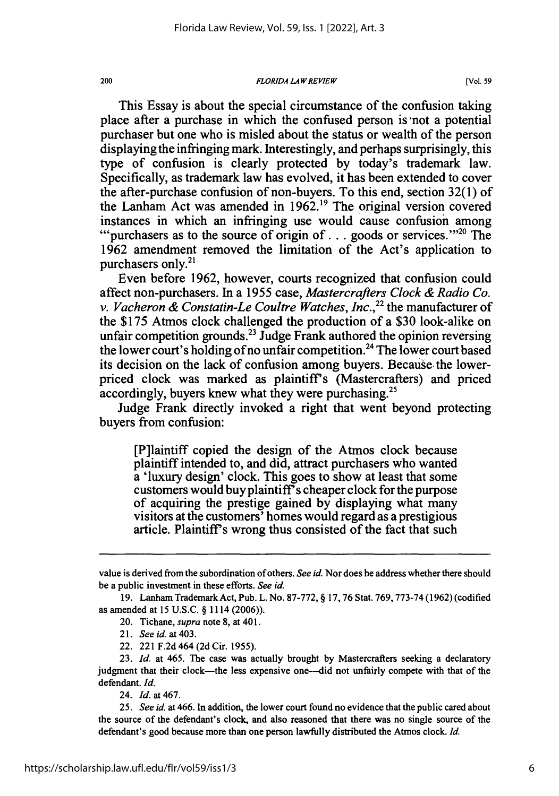### *FLORIDA LAW REVIEW*

[Vol. **59**

This Essay is about the special circumstance of the confusion taking place after a purchase in which the confused person is'not a potential purchaser but one who is misled about the status or wealth of the person displaying the infringing mark. Interestingly, and perhaps surprisingly, this type of confusion is clearly protected by today's trademark law. Specifically, as trademark law has evolved, it has been extended to cover the after-purchase confusion of non-buyers. To this end, section 32(1) of the Lanham Act was amended in  $1962<sup>19</sup>$ . The original version covered instances in which an infringing use would cause confusion among instances in which an infringing use would cause confusion among ""purchasers as to the source of origin of . . . goods or services."<sup>20</sup> The 1962 amendment removed the limitation of the Act's application to purchasers only.<sup>21</sup>

Even before 1962, however, courts recognized that confusion could affect non-purchasers. In a 1955 case, *Mastercrafters Clock & Radio Co. v. Vacheron & Constatin-Le Coultre Watches, Inc.,22* the manufacturer of the \$175 Atmos clock challenged the production of a \$30 look-alike on unfair competition grounds.<sup>23</sup> Judge Frank authored the opinion reversing the lower court's holding of no unfair competition.<sup>24</sup> The lower court based its decision on the lack of confusion among buyers. Because. the lowerpriced clock was marked as plaintiff's (Mastercrafters) and priced accordingly, buyers knew what they were purchasing.<sup>25</sup>

Judge Frank directly invoked a right that went beyond protecting buyers from confusion:

[P]laintiff copied the design of the Atmos clock because plaintiff intended to, and did, attract purchasers who wanted a 'luxury design' clock. This goes to show at least that some customers would buy plaintiff<sup>3</sup>s cheaper clock for the purpose of acquiring the prestige gained by displaying what many visitors at the customers' homes would regard as a prestigious article. Plaintiffs wrong thus consisted of the fact that such

22. 221 F.2d 464 (2d Cir. 1955).

24. *Id.* at 467.

25. *See* id. at 466. In addition, the lower court found no evidence that the public cared about the source of the defendant's clock, and also reasoned that there was no single source of the defendant's good because more than one person lawfully distributed the Atmos clock. *Id.*

value is derived from the subordination of others. *See id.* Nor does he address whether there should be a public investment in these efforts. *See* id.

<sup>19.</sup> Lanham Trademark Act, Pub. L. No. 87-772, § 17, 76 Stat. 769, 773-74 (1962) (codified as amended at 15 U.S.C. § 1114 (2006)).

<sup>20.</sup> Tichane, *supra* note 8, at 401.

*<sup>21.</sup> See id.* at 403.

<sup>23.</sup> *Id.* at 465. The case was actually brought by Mastercrafters seeking a declaratory judgment that their clock-the less expensive one-did not unfairly compete with that of the defendant. *Id.*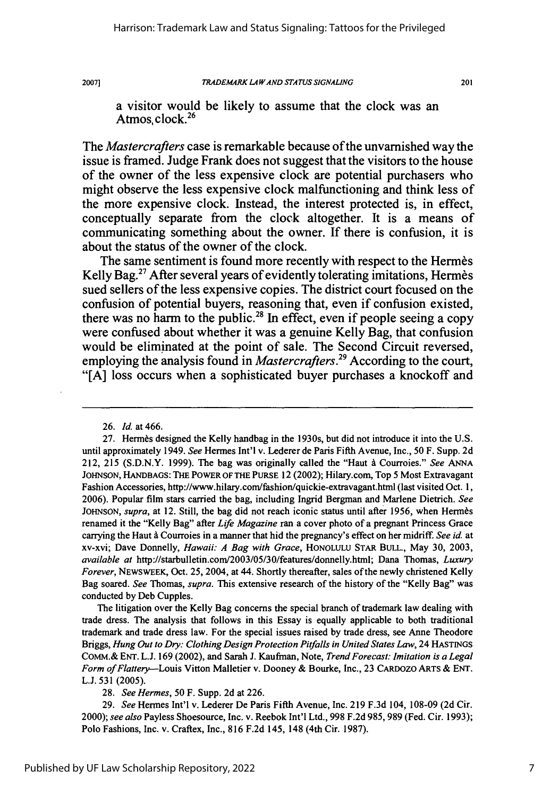2007]

201

a visitor would be likely to assume that the clock was an Atmos, clock. $26$ 

The *Mastercrafters* case is remarkable because of the unvarnished way the issue is framed. Judge Frank does not suggest that the visitors to the house of the owner of the less expensive clock are potential purchasers who might observe the less expensive clock malfunctioning and think less of the more expensive clock. Instead, the interest protected is, in effect, conceptually separate from the clock altogether. It is a means of communicating something about the owner. **If** there is confusion, it is about the status of the owner of the clock.

The same sentiment is found more recently with respect to the Hermes Kelly Bag.<sup>27</sup> After several years of evidently tolerating imitations, Hermes sued sellers of the less expensive copies. The district court focused on the confusion of potential buyers, reasoning that, even if confusion existed, there was no harm to the public.<sup>28</sup> In effect, even if people seeing a copy were confused about whether it was a genuine Kelly Bag, that confusion would be eliminated at the point of sale. The Second Circuit reversed, employing the analysis found in *Mastercrafters*.<sup>29</sup> According to the court, **"[A]** loss occurs when a sophisticated buyer purchases a knockoff and

The litigation over the Kelly Bag concerns the special branch of trademark law dealing with trade dress. The analysis that follows in this Essay is equally applicable to both traditional trademark and trade dress law. For the special issues raised by trade dress, see Anne Theodore Briggs, *Hung Out to Dry: Clothing Design Protection Pitfalls in United States Law,* 24 **HASTINGS** COMm.& ENT. L.J. 169 (2002), and Sarah **J.** Kaufman, Note, *Trend Forecast: Imitation is a Legal Form of Flattery--Louis* Vitton Malletier v. Dooney & Bourke, Inc., 23 CARDOZO ARTS & ENT. L.J. 531 (2005).

28. *See Hermes,* 50 F. Supp. 2d at 226.

29. *See* Hermes Int'l v. Lederer De Paris Fifth Avenue, Inc. 219 F.3d 104, 108-09 (2d Cir. 2000); *see also* Payless Shoesource, Inc. v. Reebok Int'l Ltd., 998 F.2d 985, 989 (Fed. Cir. 1993); Polo Fashions, Inc. v. Craftex, Inc., 816 F.2d 145, 148 (4th Cir. 1987).

<sup>26.</sup> Id. at 466.

<sup>27.</sup> Hermes designed the Kelly handbag in the 1930s, but did not introduce it into the U.S. until approximately 1949. *See* Hermes Int'l v. Lederer de Paris Fifth Avenue, Inc., 50 F. Supp. 2d 212, 215 (S.D.N.Y. 1999). The bag was originally called the "Haut **A** Courroies." *See ANNA* JOHNSON, HANDBAGS: THE POWER OF **THE** PURSE 12 (2002); Hilary.com, Top 5 Most Extravagant Fashion Accessories, http://www.hilary.com/fashion/quickie-extravagant.html (last visited Oct. 1, 2006). Popular film stars carried the bag, including Ingrid Bergman and Marlene Dietrich. *See* JOHNSON, *supra*, at 12. Still, the bag did not reach iconic status until after 1956, when Hermes renamed it the "Kelly Bag" after *Life Magazine* ran a cover photo of a pregnant Princess Grace carrying the Haut *A* Courroies in a manner that hid the pregnancy's effect on her midriff. *See* id. at xv-xvi; Dave Donnelly, *Hawaii: A Bag with Grace,* HONOLULU STAR BULL., May 30, 2003, *available at* http://starbulletin.com/2003/05/30/features/donnelly.html; Dana Thomas, *Luxury Forever,* NEWSWEEK, Oct. 25, 2004, at 44. Shortly thereafter, sales of the newly christened Kelly Bag soared. *See* Thomas, *supra.* This extensive research of the history of the "Kelly Bag" was conducted by Deb Cupples.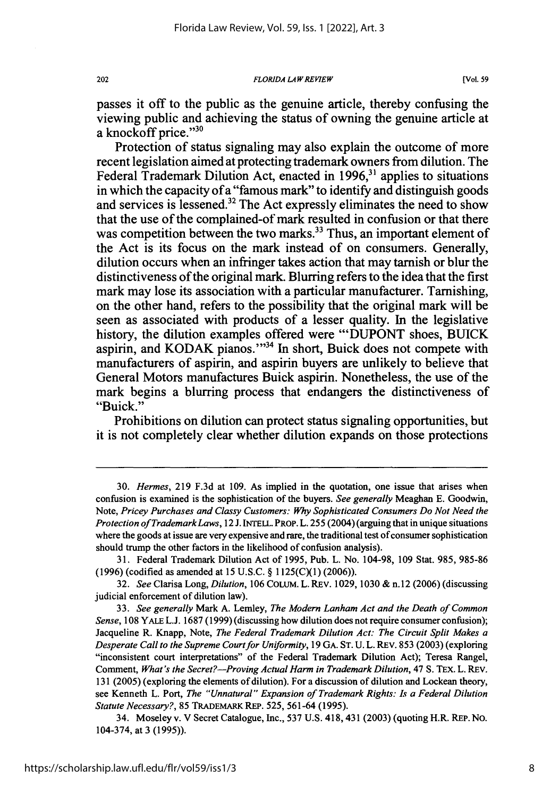*FLORIDA LA W REVIEW*

passes it off to the public as the genuine article, thereby confusing the viewing public and achieving the status of owning the genuine article at a knockoff price."<sup>30</sup>

Protection of status signaling may also explain the outcome of more recent legislation aimed at protecting trademark owners from dilution. The Federal Trademark Dilution Act, enacted in **1996,31** applies to situations in which the capacity of a "famous mark" to identify and distinguish goods and services is lessened.32 The Act expressly eliminates the need to show that the use of the complained-of mark resulted in confusion or that there was competition between the two marks.<sup>33</sup> Thus, an important element of the Act is its focus on the mark instead of on consumers. Generally, dilution occurs when an infringer takes action that may tarnish or blur the distinctiveness of the original mark. Blurring refers to the idea that the first mark may lose its association with a particular manufacturer. Tarnishing, on the other hand, refers to the possibility that the original mark will be seen as associated with products of a lesser quality. In the legislative history, the dilution examples offered were **"'DUPONT** shoes, **BUICK** aspirin, and KODAK pianos."<sup>34</sup> In short, Buick does not compete with manufacturers of aspirin, and aspirin buyers are unlikely to believe that General Motors manufactures Buick aspirin. Nonetheless, the use of the mark begins a blurring process that endangers the distinctiveness of "Buick."

Prohibitions on dilution can protect status signaling opportunities, but it is not completely clear whether dilution expands on those protections

**<sup>30.</sup>** *Hermes,* **219 F.3d** at **109.** As implied in the quotation, one issue that arises when confusion is examined is the sophistication of the buyers. *See generally* Meaghan **E.** Goodwin, Note, *Pricey Purchases and Classy Customers: Why Sophisticated Consumers Do Not Need the Protection of TrademarkLaws,* 12 **J. INTELL.** PROP. L. **255** (2004) (arguing that in unique situations where the goods at issue are very expensive and rare, the traditional test of consumer sophistication should trump the other factors in the likelihood of confusion analysis).

**<sup>31.</sup>** Federal Trademark Dilution Act of **1995,** Pub. L. No. 104-98, **109** Stat. **985, 985-86 (1996)** (codified as amended at **15 U.S.C. § 1 125(C)(1) (2006)).**

**<sup>32.</sup>** *See* Clarisa Long, *Dilution,* **106 COLUM.** L. REV. **1029, 1030 &** n.12 **(2006)** (discussing judicial enforcement of dilution law).

**<sup>33.</sup>** *See generally* Mark **A.** Lemley, *The Modern Lanham Act and the Death of Common Sense,* **108** YALE **L.J. 1687 (1999)** (discussing how dilution does not require consumer confusion); Jacqueline R. Knapp, Note, *The Federal Trademark Dilution Act: The Circuit Split Makes a Desperate Call to the Supreme Court for Uniformity,* **19 GA. ST. U.** L. REV. **853 (2003)** (exploring "inconsistent court interpretations" of the Federal Trademark Dilution Act); Teresa Rangel, Comment, *What's the Secret?--Proving Actual Harm in Trademark Dilution, 47 S. TEX. L. REV.* **131 (2005)** (exploring the elements of dilution). For a discussion of dilution and Lockean theory, see Kenneth L. Port, *The "Unnatural" Expansion of Trademark Rights: Is a Federal Dilution Statute Necessary?,* **85 TRADEMARK** REP. **525, 561-64 (1995).**

<sup>34.</sup> Moseley v. V Secret Catalogue, Inc., **537 U.S.** 418,431 **(2003)** (quoting H.R. REP. **No.** 104-374, at **3 (1995)).**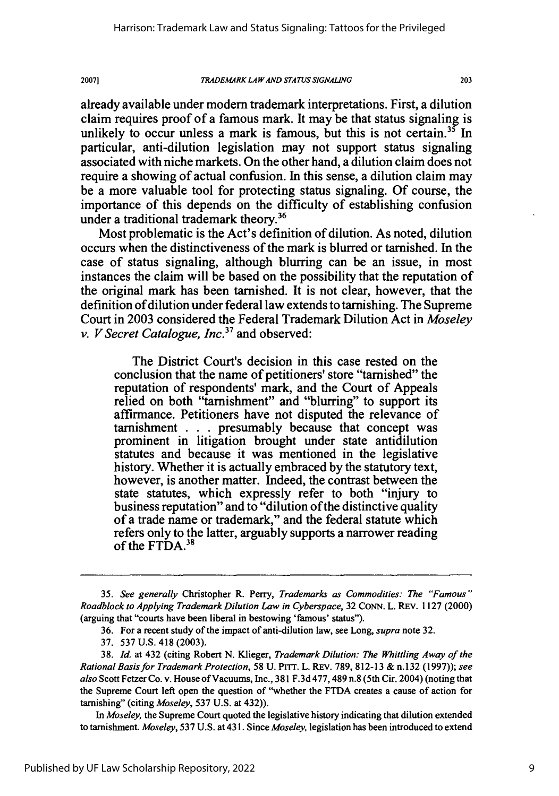#### *TRADEMARK LA* **WAND** *STA TUS SIGNALING*

203

already available under modem trademark interpretations. First, a dilution claim requires proof of a famous mark. It may be that status signaling is unlikely to occur unless a mark is famous, but this is not certain.<sup>35</sup> In particular, anti-dilution legislation may not support status signaling associated with niche markets. On the other hand, a dilution claim does not require a showing of actual confusion. In this sense, a dilution claim may be a more valuable tool for protecting status signaling. Of course, the importance of this depends on the difficulty of establishing confusion under a traditional trademark theory.<sup>36</sup>

Most problematic is the Act's definition of dilution. As noted, dilution occurs when the distinctiveness of the mark is blurred or tarnished. In the case of status signaling, although blurring can be an issue, in most instances the claim will be based on the possibility that the reputation of the original mark has been tarnished. It is not clear, however, that the definition of dilution under federal law extends to tarnishing. The Supreme Court in 2003 considered the Federal Trademark Dilution Act in *Moseley v. V Secret Catalogue, Inc.37* and observed:

The District Court's decision in this case rested on the conclusion that the name of petitioners' store "tarnished" the reputation of respondents' mark, and the Court of Appeals relied on both "tamishment" and "blurring" to support its affirmance. Petitioners have not disputed the relevance of tamishment . . . presumably because that concept was prominent in litigation brought under state antidilution statutes and because it was mentioned in the legislative history. Whether it is actually embraced by the statutory text, however, is another matter. Indeed, the contrast between the state statutes, which expressly refer to both "injury to business reputation" and to "dilution of the distinctive quality of a trade name or trademark," and the federal statute which refers only to the latter, arguably supports a narrower reading of the FTDA.<sup>38</sup>

In *Moseley,* the Supreme Court quoted the legislative history indicating that dilution extended to tarnishment. *Moseley,* 537 U.S. at 431. Since *Moseley,* legislation has been introduced to extend

<sup>35.</sup> *See generally* Christopher R. Perry, *Trademarks as Commodities: The "Famous" Roadblock to Applying Trademark Dilution Law in Cyberspace,* 32 CoNN. L. REv. 1127 (2000) (arguing that "courts have been liberal in bestowing 'famous' status").

<sup>36.</sup> For a recent study of the impact of anti-dilution law, see Long, *supra* note 32.

<sup>37. 537</sup> U.S. 418 (2003).

<sup>38.</sup> *Id.* at 432 (citing Robert N. Klieger, *Trademark Dilution: The Whittling Away of the Rational Basis for Trademark Protection,* 58 U. PrT. L. REv. 789, 812-13 & n. 132 (1997)); *see also* Scott Fetzer Co. v. House of Vacuums, Inc., 381 F.3d 477, 489 n.8 (5th Cir. 2004) (noting that the Supreme Court left open the question of "whether the FTDA creates a cause of action for tarnishing" (citing *Moseley,* 537 U.S. at 432)).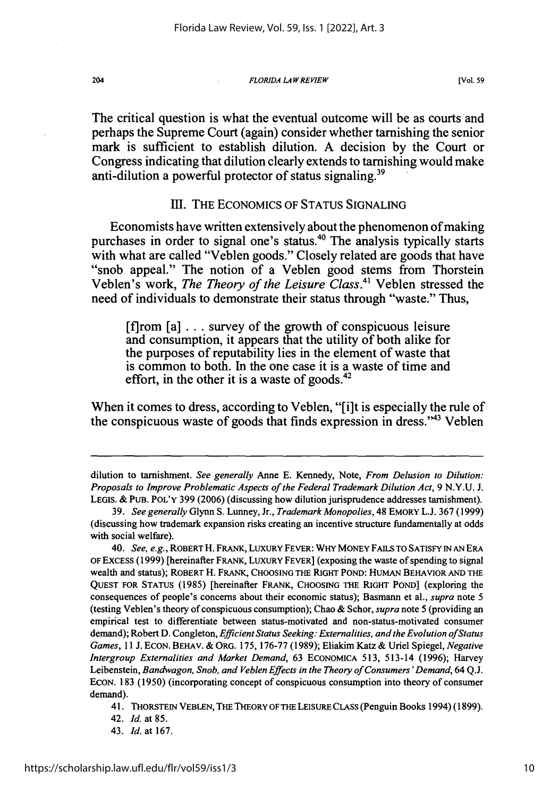*FLORIDA LAW REVIEW*

The critical question is what the eventual outcome will be as courts and perhaps the Supreme Court (again) consider whether tarnishing the senior mark is sufficient to establish dilution. **A** decision **by** the Court or Congress indicating that dilution clearly extends to tarnishing would make anti-dilution a powerful protector of status signaling.<sup>39</sup>

### III. THE ECONOMICS OF STATUS SIGNALING

Economists have written extensively about the phenomenon of making purchases in order to signal one's status.<sup>40</sup> The analysis typically starts with what are called "Veblen goods." Closely related are goods that have "snob appeal." The notion of a Veblen good stems from Thorstein Veblen's work, *The Theory of the Leisure Class.4* Veblen stressed the need of individuals to demonstrate their status through "waste." Thus,

[f]rom [a] **...** survey of the growth of conspicuous leisure and consumption, it appears that the utility of both alike for the purposes of reputability lies in the element of waste that is common to both. In the one case it is a waste of time and effort, in the other it is a waste of goods. $42$ 

When it comes to dress, according to Veblen, **"[i]t** is especially the rule of the conspicuous waste of goods that finds expression in dress."'43 Veblen

42. **Id.** at 85.

dilution to tarnishment. *See generally* Anne E. Kennedy, Note, *From Delusion to Dilution: Proposals to Improve Problematic Aspects of the Federal Trademark Dilution Act, 9 N.Y.U. J.* LEGIS. & **PUB.** POL'Y 399 (2006) (discussing how dilution jurisprudence addresses tamishment).

<sup>39.</sup> *See generally* Glynn S. Lunney, Jr., *Trademark Monopolies,* 48 EMORY L.J. 367 (1999) (discussing how trademark expansion risks creating an incentive structure fundamentally at odds with social welfare).

<sup>40.</sup> *See, e.g.,* ROBERT H. FRANK, LUXURY FEVER: WHY MONEY FAILS TO SATISFY IN AN ERA OF EXCESS (1999) [hereinafter FRANK, LUXURY FEVER] (exposing the waste of spending to signal wealth and status); ROBERT H. FRANK, CHOOSING THE RIGHT POND: HUMAN BEHAVIOR AND THE QUEST FOR STATUS (1985) [hereinafter FRANK, CHOOSING THE RIGHT POND] (exploring the consequences of people's concerns about their economic status); Basmann et al., *supra* note **5** (testing Veblen's theory of conspicuous consumption); Chao & Schor, *supra* note 5 (providing an empirical test to differentiate between status-motivated and non-status-motivated consumer demand); Robert D. Congleton, *Efficient Status Seeking: Externalities, and the Evolution of Status Games,* 11 J. ECON. BEHAV. & ORG. 175, 176-77 (1989); Eliakim Katz & Uriel Spiegel, *Negative Intergroup Externalities and Market Demand,* 63 ECONOMICA 513, 513-14 (1996); Harvey Leibenstein, *Bandwagon, Snob, and Veblen Effects in the Theory of Consumers 'Demand,* 64 Q.J. ECON. 183 (1950) (incorporating concept of conspicuous consumption into theory of consumer demand).

<sup>41.</sup> THORSTEIN VEBLEN, THE THEORY OF THE LEISURE CLASS (Penguin Books 1994) (1899).

<sup>43.</sup> Id. at 167.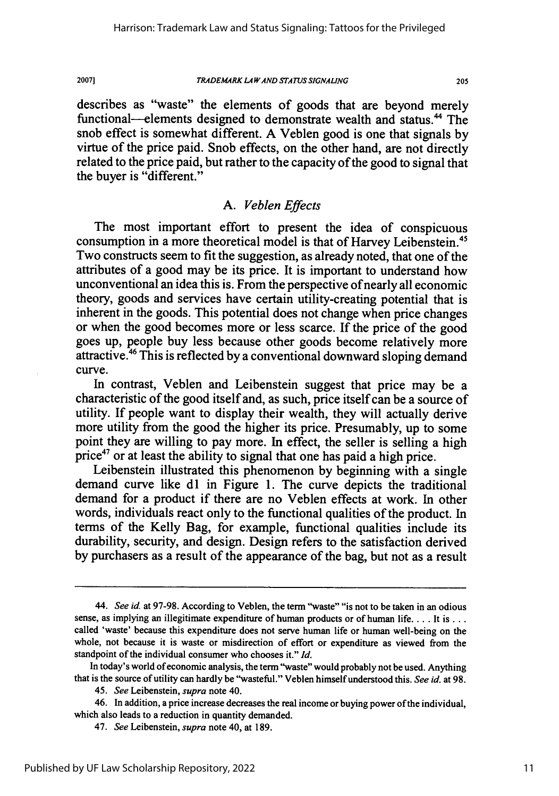### *TRADEMARK LA WAND STATUS SIGNALING*

205

describes as "waste" the elements of goods that are beyond merely functional—elements designed to demonstrate wealth and status.<sup>44</sup> The snob effect is somewhat different. A Veblen good is one that signals by virtue of the price paid. Snob effects, on the other hand, are not directly related to the price paid, but rather to the capacity of the good to signal that the buyer is "different."

## *A. Veblen Effects*

The most important effort to present the idea of conspicuous consumption in a more theoretical model is that of Harvey Leibenstein.<sup>45</sup> Two constructs seem to fit the suggestion, as already noted, that one of the attributes of a good may be its price. It is important to understand how unconventional an idea this is. From the perspective of nearly all economic theory, goods and services have certain utility-creating potential that is inherent in the goods. This potential does not change when price changes or when the good becomes more or less scarce. If the price of the good goes up, people buy less because other goods become relatively more attractive.46 This is reflected by a conventional downward sloping demand curve.

In contrast, Veblen and Leibenstein suggest that price may be a characteristic of the good itself and, as such, price itself can be a source of utility. If people want to display their wealth, they will actually derive more utility from the good the higher its price. Presumably, up to some point they are willing to pay more. In effect, the seller is selling a high price<sup>47</sup> or at least the ability to signal that one has paid a high price.

Leibenstein illustrated this phenomenon by beginning with a single demand curve like dl in Figure 1. The curve depicts the traditional demand for a product if there are no Veblen effects at work. In other words, individuals react only to the functional qualities of the product. In terms of the Kelly Bag, for example, functional qualities include its durability, security, and design. Design refers to the satisfaction derived by purchasers as a result of the appearance of the bag, but not as a result

*<sup>44.</sup> See id.* at 97-98. According to Veblen, the term "waste" "is not to be taken in an odious sense, as implying an illegitimate expenditure of human products or of human life.... It is... called 'waste' because this expenditure does not serve human life or human well-being on the whole, not because it is waste or misdirection of effort or expenditure as viewed from the standpoint of the individual consumer who chooses it." *Id.*

In today's world of economic analysis, the term "waste" would probably not be used. Anything that is the source of utility can hardly be "wasteful." Veblen himself understood this. *See id.* at 98.

<sup>45.</sup> *See* Leibenstein, *supra* note 40.

<sup>46.</sup> In addition, a price increase decreases the real income or buying power of the individual, which also leads to a reduction in quantity demanded.

<sup>47.</sup> *See* Leibenstein, *supra* note 40, at 189.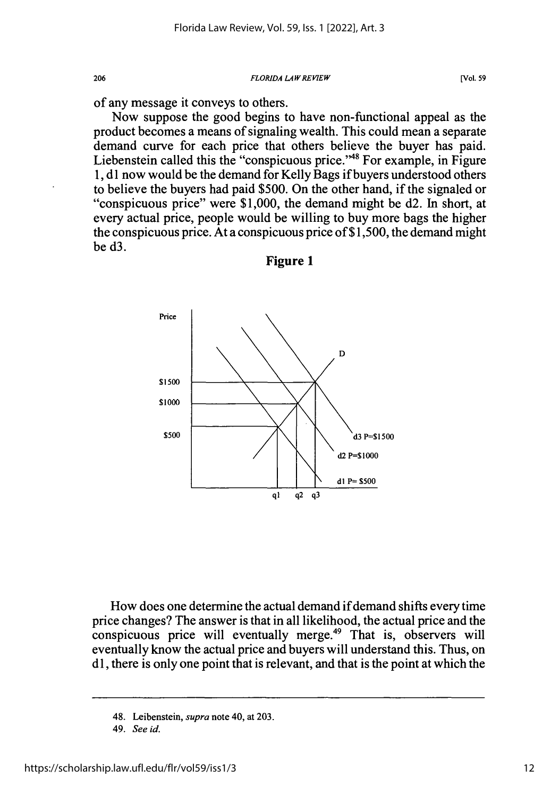*FLORIDA LAWREVIEW*

of any message it conveys to others.

206

Now suppose the good begins to have non-functional appeal as the product becomes a means of signaling wealth. This could mean a separate demand curve for each price that others believe the buyer has paid. Liebenstein called this the "conspicuous price."<sup>48</sup> For example, in Figure 1, d1 now would be the demand for Kelly Bags if buyers understood others to believe the buyers had paid \$500. On the other hand, if the signaled or "conspicuous price" were  $$1,000$ , the demand might be d2. In short, at every actual price, people would be willing to buy more bags the higher the conspicuous price. At a conspicuous price of \$1,500, the demand might be d3.



**Figure 1**

How does one determine the actual demand if demand shifts every time price changes? The answer is that in all likelihood, the actual price and the conspicuous price will eventually merge.<sup>49</sup> That is, observers will eventually know the actual price and buyers will understand this. Thus, on dl, there is only one point that is relevant, and that is the point at which the

<sup>48.</sup> Leibenstein, *supra* note 40, at 203.

<sup>49.</sup> *See id.*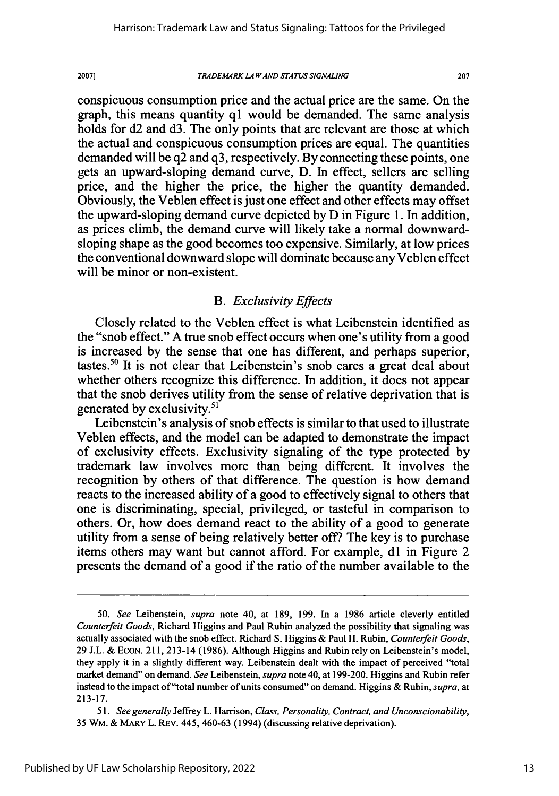2007]

### *TRADEMARK LA WAND STATUS SIGNALING*

207

conspicuous consumption price and the actual price are the same. On the graph, this means quantity **q1** would be demanded. The same analysis holds for d2 and d3. The only points that are relevant are those at which the actual and conspicuous consumption prices are equal. The quantities demanded will be q2 and q3, respectively. By connecting these points, one gets an upward-sloping demand curve, D. In effect, sellers are selling price, and the higher the price, the higher the quantity demanded. Obviously, the Veblen effect is just one effect and other effects may offset the upward-sloping demand curve depicted by D in Figure 1. In addition, as prices climb, the demand curve will likely take a normal downwardsloping shape as the good becomes too expensive. Similarly, at low prices the conventional downward slope will dominate because any Veblen effect will be minor or non-existent.

## *B. Exclusivity Effects*

Closely related to the Veblen effect is what Leibenstein identified as the "snob effect." A true snob effect occurs when one's utility from a good is increased by the sense that one has different, and perhaps superior, tastes.50 It is not clear that Leibenstein's snob cares a great deal about whether others recognize this difference. In addition, it does not appear that the snob derives utility from the sense of relative deprivation that is generated by exclusivity.<sup>51</sup>

Leibenstein's analysis of snob effects is similar to that used to illustrate Veblen effects, and the model can be adapted to demonstrate the impact of exclusivity effects. Exclusivity signaling of the type protected by trademark law involves more than being different. It involves the recognition by others of that difference. The question is how demand reacts to the increased ability of a good to effectively signal to others that one is discriminating, special, privileged, or tasteful in comparison to others. Or, how does demand react to the ability of a good to generate utility from a sense of being relatively better off? The key is to purchase items others may want but cannot afford. For example, dl in Figure 2 presents the demand of a good if the ratio of the number available to the

<sup>50.</sup> *See* Leibenstein, *supra* note 40, at 189, 199. In a 1986 article cleverly entitled *Counterfeit Goods,* Richard Higgins and Paul Rubin analyzed the possibility that signaling was actually associated with the snob effect. Richard **S.** Higgins & Paul H. Rubin, *Counterfeit Goods,* 29 J.L. & ECON. 211, 213-14 (1986). Although Higgins and Rubin rely on Leibenstein's model, they apply it in a slightly different way. Leibenstein dealt with the impact of perceived "total market demand" on demand. *See* Leibenstein, *supra* note 40, at 199-200. Higgins and Rubin refer instead to the impact of "total number of units consumed" on demand. Higgins & Rubin, *supra,* at 213-17.

*<sup>51.</sup> See generally* Jeffrey L. Harrison, *Class, Personality, Contract, and Unconscionability,* 35 WM. & MARY L. REv. 445, 460-63 (1994) (discussing relative deprivation).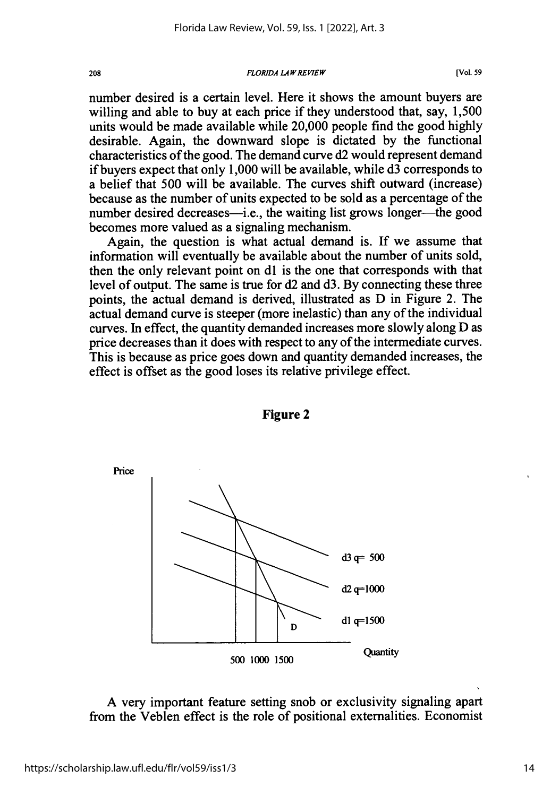### *FLORIDA LAW REVIEW* **208 [Vol. 59**

number desired is a certain level. Here it shows the amount buyers are willing and able to buy at each price if they understood that, say, 1,500 units would be made available while 20,000 people find the good highly desirable. Again, the downward slope is dictated by the functional characteristics of the good. The demand curve d2 would represent demand if buyers expect that only 1,000 will be available, while d3 corresponds to a belief that 500 will be available. The curves shift outward (increase) because as the number of units expected to be sold as a percentage of the number desired decreases—i.e., the waiting list grows longer—the good becomes more valued as a signaling mechanism.

Again, the question is what actual demand is. If we assume that information will eventually be available about the number of units sold, then the only relevant point on dl is the one that corresponds with that level of output. The same is true for d2 and d3. By connecting these three points, the actual demand is derived, illustrated as D in Figure 2. The actual demand curve is steeper (more inelastic) than any of the individual curves. In effect, the quantity demanded increases more slowly along D as price decreases than it does with respect to any of the intermediate curves. This is because as price goes down and quantity demanded increases, the effect is offset as the good loses its relative privilege effect.



**Figure 2**

**A** very important feature setting snob or exclusivity signaling apart from the Veblen effect is the role of positional externalities. Economist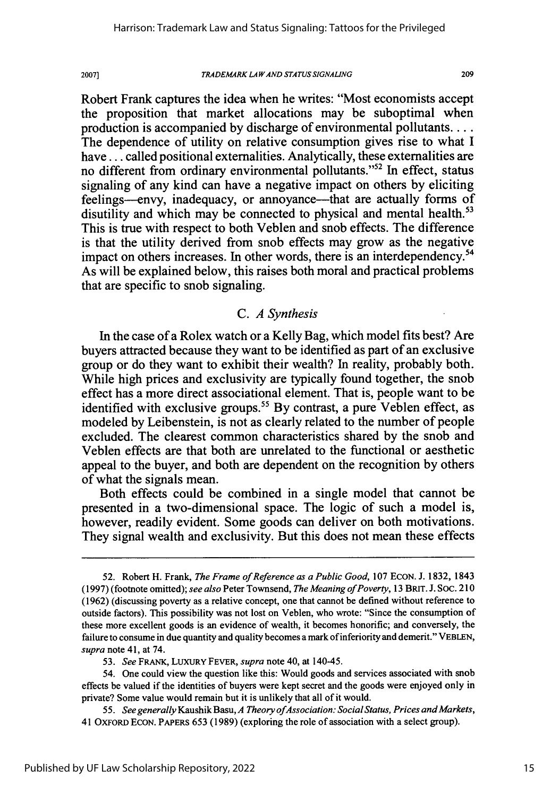#### *TRADEMARK LA WAND STATUS SIGNALING*

209

Robert Frank captures the idea when he writes: "Most economists accept the proposition that market allocations may be suboptimal when production is accompanied by discharge of environmental pollutants .... The dependence of utility on relative consumption gives rise to what I have ... called positional externalities. Analytically, these externalities are no different from ordinary environmental pollutants."52 In effect, status signaling of any kind can have a negative impact on others by eliciting feelings--envy, inadequacy, or annoyance-that are actually forms of disutility and which may be connected to physical and mental health.<sup>53</sup> This is true with respect to both Veblen and snob effects. The difference is that the utility derived from snob effects may grow as the negative impact on others increases. In other words, there is an interdependency.<sup>54</sup> As will be explained below, this raises both moral and practical problems that are specific to snob signaling.

# *C. A Synthesis*

In the case of a Rolex watch or a Kelly Bag, which model fits best? Are buyers attracted because they want to be identified as part of an exclusive group or do they want to exhibit their wealth? In reality, probably both. While high prices and exclusivity are typically found together, the snob effect has a more direct associational element. That is, people want to be identified with exclusive groups.<sup>55</sup> By contrast, a pure Veblen effect, as modeled by Leibenstein, is not as clearly related to the number of people excluded. The clearest common characteristics shared by the snob and Veblen effects are that both are unrelated to the functional or aesthetic appeal to the buyer, and both are dependent on the recognition by others of what the signals mean.

Both effects could be combined in a single model that cannot be presented in a two-dimensional space. The logic of such a model is, however, readily evident. Some goods can deliver on both motivations. They signal wealth and exclusivity. But this does not mean these effects

*55. See generally* Kaushik Basu, *A Theory ofAssociation: Social Status, Prices and Markets,* 41 OxFoRD ECON. PAPERS 653 (1989) (exploring the role of association with a select group).

<sup>52.</sup> Robert H. Frank, *The Frame of Reference as a Public Good,* 107 EcON. J. 1832, 1843 (1997) (footnote omitted); *see also* Peter Townsend, *The Meaning of Poverty,* 13 BRIT. J. Soc. 210 (1962) (discussing poverty as a relative concept, one that cannot be defined without reference to outside factors). This possibility was not lost on Veblen, who wrote: "Since the consumption of these more excellent goods is an evidence of wealth, it becomes honorific; and conversely, the failure to consume in due quantity and quality becomes a mark of inferiority and demerit." VEBLEN, *supra* note 41, at 74.

*<sup>53.</sup> See* FRANK, LUXURY FEVER, *supra* note 40, at 140-45.

<sup>54.</sup> One could view the question like this: Would goods and services associated with snob effects be valued if the identities of buyers were kept secret and the goods were enjoyed only in private? Some value would remain but it is unlikely that all of it would.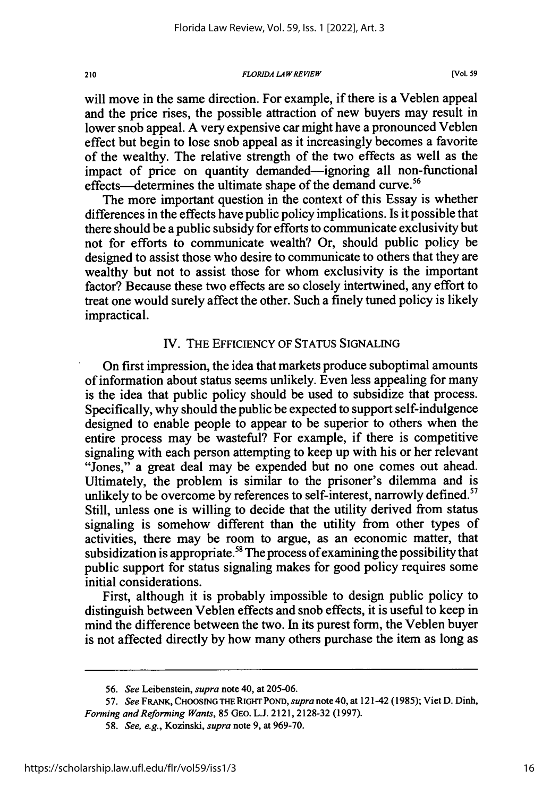*FLORIDA LAWREVIEW*

will move in the same direction. For example, if there is a Veblen appeal and the price rises, the possible attraction of new buyers may result in lower snob appeal. A very expensive car might have a pronounced Veblen effect but begin to lose snob appeal as it increasingly becomes a favorite of the wealthy. The relative strength of the two effects as well as the impact of price on quantity demanded-ignoring all non-functional effects—determines the ultimate shape of the demand curve.<sup>56</sup>

The more important question in the context of this Essay is whether differences in the effects have public policy implications. Is it possible that there should be a public subsidy for efforts to communicate exclusivity but not for efforts to communicate wealth? Or, should public policy be designed to assist those who desire to communicate to others that they are wealthy but not to assist those for whom exclusivity is the important factor? Because these two effects are so closely intertwined, any effort to treat one would surely affect the other. Such a finely tuned policy is likely impractical.

# IV. THE EFFICIENCY OF STATUS SIGNALING

On first impression, the idea that markets produce suboptimal amounts of information about status seems unlikely. Even less appealing for many is the idea that public policy should be used to subsidize that process. Specifically, why should the public be expected to support self-indulgence designed to enable people to appear to be superior to others when the entire process may be wasteful? For example, if there is competitive signaling with each person attempting to keep up with his or her relevant "Jones," a great deal may be expended but no one comes out ahead. Ultimately, the problem is similar to the prisoner's dilemma and is unlikely to be overcome by references to self-interest, narrowly defined.<sup>57</sup> Still, unless one is willing to decide that the utility derived from status signaling is somehow different than the utility from other types of activities, there may be room to argue, as an economic matter, that subsidization is appropriate.<sup>58</sup> The process of examining the possibility that public support for status signaling makes for good policy requires some initial considerations.

First, although it is probably impossible to design public policy to distinguish between Veblen effects and snob effects, it is useful to keep in mind the difference between the two. In its purest form, the Veblen buyer is not affected directly by how many others purchase the item as long as

210

<sup>56.</sup> *See* Leibenstein, *supra* note 40, at 205-06.

<sup>57.</sup> *See* FRANK, **CHOOSING** THE **RIGHT** POND, *supra* note 40, at 121-42 (1985); Viet D. Dinh, *Forming and Reforming Wants,* 85 GEO. L.J. 2121, 2128-32 (1997).

<sup>58.</sup> *See, e.g.,* Kozinski, *supra* note 9, at 969-70.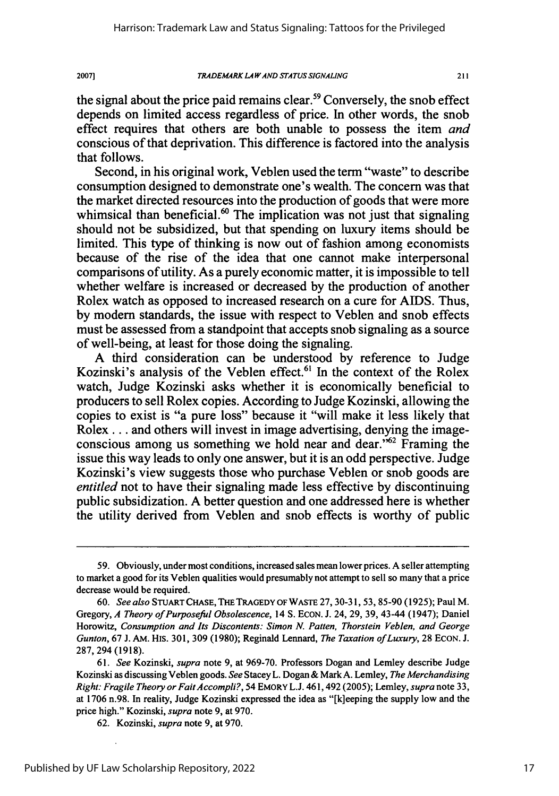**TRADEMARK LAW AND STATUS SIGNALING** 

 $211$ 

the signal about the price paid remains clear.<sup>59</sup> Conversely, the snob effect depends on limited access regardless of price. In other words, the snob effect requires that others are both unable to possess the item *and* conscious of that deprivation. This difference is factored into the analysis that follows.

Second, in his original work, Veblen used the term "waste" to describe consumption designed to demonstrate one's wealth. The concern was that the market directed resources into the production of goods that were more whimsical than beneficial.<sup>60</sup> The implication was not just that signaling should not be subsidized, but that spending on luxury items should be limited. This type of thinking is now out of fashion among economists because of the rise of the idea that one cannot make interpersonal comparisons of utility. As a purely economic matter, it is impossible to tell whether welfare is increased or decreased by the production of another Rolex watch as opposed to increased research on a cure for AIDS. Thus, by modern standards, the issue with respect to Veblen and snob effects must be assessed from a standpoint that accepts snob signaling as a source of well-being, at least for those doing the signaling.

A third consideration can be understood by reference to Judge Kozinski's analysis of the Veblen effect.<sup>61</sup> In the context of the Rolex watch, Judge Kozinski asks whether it is economically beneficial to producers to sell Rolex copies. According to Judge Kozinski, allowing the copies to exist is "a pure loss" because it "will make it less likely that Rolex **...** and others will invest in image advertising, denying the imageconscious among us something we hold near and dear.<sup> $562$ </sup> Framing the issue this way leads to only one answer, but it is an odd perspective. Judge Kozinski's view suggests those who purchase Veblen or snob goods are *entitled* not to have their signaling made less effective by discontinuing public subsidization. A better question and one addressed here is whether the utility derived from Veblen and snob effects is worthy of public

<sup>59.</sup> Obviously, under most conditions, increased sales mean lower prices. A seller attempting to market a good for its Veblen qualities would presumably not attempt to sell so many that a price decrease would be required.

<sup>60.</sup> *See also* STUART CHASE, THE TRAGEDY OF WASTE 27, 30-31, 53, 85-90 (1925); Paul M. Gregory, *A Theory of Purposeful Obsolescence,* 14 **S.** ECON. J. 24, 29, 39, 43-44 (1947); Daniel Horowitz, *Consumption and Its Discontents: Simon N. Patten, Thorstein Veblen, and George Gunton,* 67 J. AM. His. 301, 309 (1980); Reginald Lennard, *The Taxation of Luxury,* 28 EcON. **J.** 287, 294 (1918).

<sup>61.</sup> *See* Kozinski, *supra* note 9, at 969-70. Professors Dogan and Lemley describe Judge Kozinski as discussing Veblen goods. *See* Stacey L. Dogan & Mark A. Lemley, *The Merchandising Right: Fragile Theory or FaitAccompli?,* 54 EMORY L.J. 461,492 (2005); Lemley, *supra* note 33, at 1706 n.98. In reality, Judge Kozinski expressed the idea as "[k]eeping the supply low and the price high." Kozinski, *supra* note 9, at 970.

<sup>62.</sup> Kozinski, *supra* note 9, at 970.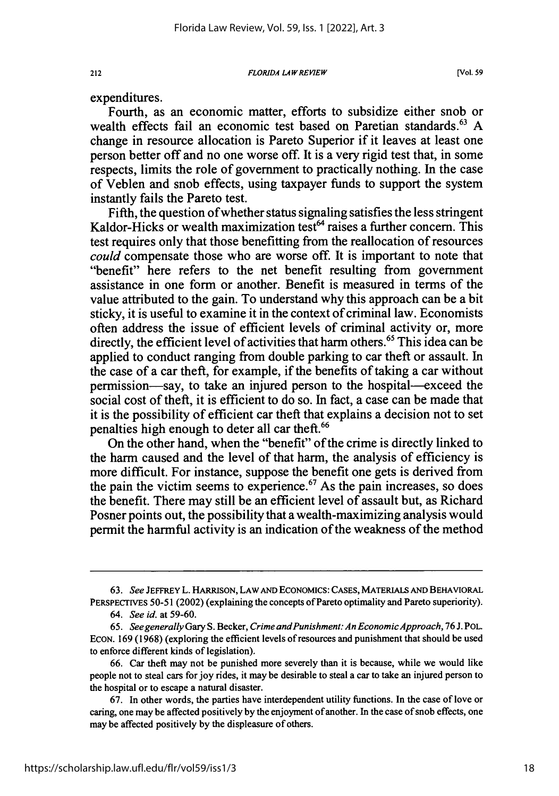*FLORIDA LAW REVIEW*

expenditures.

Fourth, as an economic matter, efforts to subsidize either snob or wealth effects fail an economic test based on Paretian standards.<sup>63</sup> A change in resource allocation is Pareto Superior if it leaves at least one person better off and no one worse off. It is a very rigid test that, in some respects, limits the role of government to practically nothing. In the case of Veblen and snob effects, using taxpayer funds to support the system instantly fails the Pareto test.

Fifth, the question of whether status signaling satisfies the less stringent Kaldor-Hicks or wealth maximization test $<sup>64</sup>$  raises a further concern. This</sup> test requires only that those benefitting from the reallocation of resources *could* compensate those who are worse off. It is important to note that "benefit" here refers to the net benefit resulting from government assistance in one form or another. Benefit is measured in terms of the value attributed to the gain. To understand why this approach can be a bit sticky, it is useful to examine it in the context of criminal law. Economists often address the issue of efficient levels of criminal activity or, more directly, the efficient level of activities that harm others.<sup>65</sup> This idea can be applied to conduct ranging from double parking to car theft or assault. In the case of a car theft, for example, if the benefits of taking a car without permission-say, to take an injured person to the hospital-exceed the social cost of theft, it is efficient to do so. In fact, a case can be made that it is the possibility of efficient car theft that explains a decision not to set penalties high enough to deter all car theft.<sup>66</sup>

On the other hand, when the "benefit" of the crime is directly linked to the harm caused and the level of that harm, the analysis of efficiency is more difficult. For instance, suppose the benefit one gets is derived from the pain the victim seems to experience.<sup> $67$ </sup> As the pain increases, so does the benefit. There may still be an efficient level of assault but, as Richard Posner points out, the possibility that a wealth-maximizing analysis would permit the harmful activity is an indication of the weakness of the method

<sup>63.</sup> *See* JEFFREY L. HARRISON, LAW **AND** ECONOMICS: **CASES,** MATERIALS AND BEHAVIORAL PERSPECTIVES 50-51 (2002) (explaining the concepts of Pareto optimality and Pareto superiority).

*<sup>64.</sup> See id.* at 59-60.

*<sup>65.</sup> See generally* Gary S. Becker, *Crime andPunishment: An EconomicApproach, 76 J.* POL. ECON. 169 (1968) (exploring the efficient levels of resources and punishment that should be used to enforce different kinds of legislation).

<sup>66.</sup> Car theft may not be punished more severely than it is because, while we would like people not to steal cars for joy rides, it may be desirable to steal a car to take an injured person to the hospital or to escape a natural disaster.

<sup>67.</sup> In other words, the parties have interdependent utility functions. In the case of love or caring, one may be affected positively by the enjoyment of another. In the case of snob effects, one may be affected positively by the displeasure of others.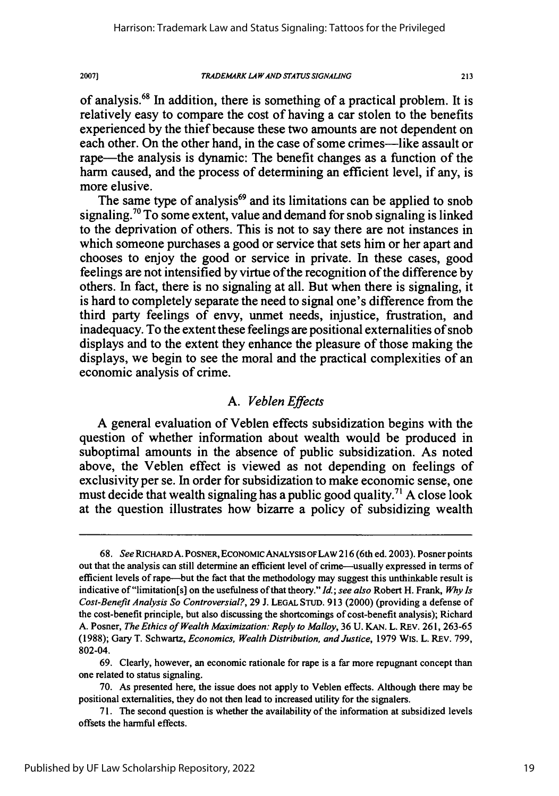*TRADEMRK LA WAND STA TUS SIGNALING*

 $211$ 

of analysis.<sup>68</sup> In addition, there is something of a practical problem. It is relatively easy to compare the cost of having a car stolen to the benefits experienced by the thief because these two amounts are not dependent on each other. On the other hand, in the case of some crimes—like assault or rape—the analysis is dynamic: The benefit changes as a function of the harm caused, and the process of determining an efficient level, if any, is more elusive.

The same type of analysis $69$  and its limitations can be applied to snob signaling.<sup>70</sup> To some extent, value and demand for snob signaling is linked to the deprivation of others. This is not to say there are not instances in which someone purchases a good or service that sets him or her apart and chooses to enjoy the good or service in private. In these cases, good feelings are not intensified by virtue of the recognition of the difference by others. In fact, there is no signaling at all. But when there is signaling, it is hard to completely separate the need to signal one's difference from the third party feelings of envy, unmet needs, injustice, frustration, and inadequacy. To the extent these feelings are positional externalities of snob displays and to the extent they enhance the pleasure of those making the displays, we begin to see the moral and the practical complexities of an economic analysis of crime.

### *A. Veblen Effects*

**A** general evaluation of Veblen effects subsidization begins with the question of whether information about wealth would be produced in suboptimal amounts in the absence of public subsidization. As noted above, the Veblen effect is viewed as not depending on feelings of exclusivity per se. In order for subsidization to make economic sense, one must decide that wealth signaling has a public good quality.71 **A** close look at the question illustrates how bizarre a policy of subsidizing wealth

*<sup>68.</sup> See* RICHARDA. POSNER, ECONOMIC ANALYSISOFLAW **216** (6th ed. **2003).** Posner points out that the analysis can still determine an efficient level of crime-usually expressed in terms of efficient levels of rape-but the fact that the methodology may suggest this unthinkable result is indicative of"limitation[s] on the usefulness of that theory." *Id.; see also* Robert H. Frank, *Why Is Cost-Benefit Analysis So Controversial?,* 29 J. **LEGAL** STUD. **913** (2000) (providing a defense of the cost-benefit principle, but also discussing the shortcomings of cost-benefit analysis); Richard A. Posner, *The Ethics of Wealth Maximization: Reply to Malloy,* **36 U.** KAN. L. REv. 261, 263-65 **(1988);** Gary T. Schwartz, *Economics, Wealth Distribution, and Justice,* **1979** Wis. L. REv. 799, 802-04.

<sup>69.</sup> Clearly, however, an economic rationale for rape is a far more repugnant concept than one related to status signaling.

**<sup>70.</sup>** As presented here, the issue does not apply to Veblen effects. Although there may be positional externalities, they do not then lead to increased utility for the signalers.

**<sup>71.</sup>** The second question is whether the availability of the information at subsidized levels offsets the harmful effects.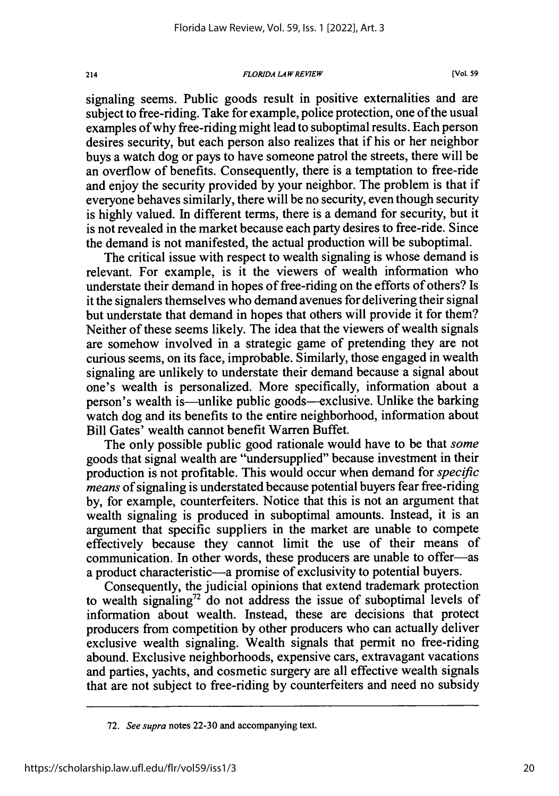#### *FLORIDA LAW REVIEW*

signaling seems. Public goods result in positive externalities and are subject to free-riding. Take for example, police protection, one of the usual examples of why free-riding might lead to suboptimal results. Each person desires security, but each person also realizes that if his or her neighbor buys a watch dog or pays to have someone patrol the streets, there will be an overflow of benefits. Consequently, there is a temptation to free-ride and enjoy the security provided **by** your neighbor. The problem is that if everyone behaves similarly, there will be no security, even though security is highly valued. In different terms, there is a demand for security, but it is not revealed in the market because each party desires to free-ride. Since the demand is not manifested, the actual production will be suboptimal.

The critical issue with respect to wealth signaling is whose demand is relevant. For example, is it the viewers of wealth information who understate their demand in hopes of free-riding on the efforts of others? Is it the signalers themselves who demand avenues for delivering their signal but understate that demand in hopes that others will provide it for them? Neither of these seems likely. The idea that the viewers of wealth signals are somehow involved in a strategic game of pretending they are not curious seems, on its face, improbable. Similarly, those engaged in wealth signaling are unlikely to understate their demand because a signal about one's wealth is personalized. More specifically, information about a person's wealth is—unlike public goods—exclusive. Unlike the barking watch dog and its benefits to the entire neighborhood, information about Bill Gates' wealth cannot benefit Warren Buffet.

The only possible public good rationale would have to be that *some* goods that signal wealth are "undersupplied" because investment in their production is not profitable. This would occur when demand for *specific means* of signaling is understated because potential buyers fear free-riding **by,** for example, counterfeiters. Notice that this is not an argument that wealth signaling is produced in suboptimal amounts. Instead, it is an argument that specific suppliers in the market are unable to compete effectively because they cannot limit the use of their means of communication. In other words, these producers are unable to offer-as a product characteristic-a promise of exclusivity to potential buyers.

Consequently, the judicial opinions that extend trademark protection to wealth signaling72 do not address the issue of suboptimal levels of information about wealth. Instead, these are decisions that protect producers from competition **by** other producers who can actually deliver exclusive wealth signaling. Wealth signals that permit no free-riding abound. Exclusive neighborhoods, expensive cars, extravagant vacations and parties, yachts, and cosmetic surgery are all effective wealth signals that are not subject to free-riding **by** counterfeiters and need no subsidy

<sup>72.</sup> *See supra* notes 22-30 and accompanying text.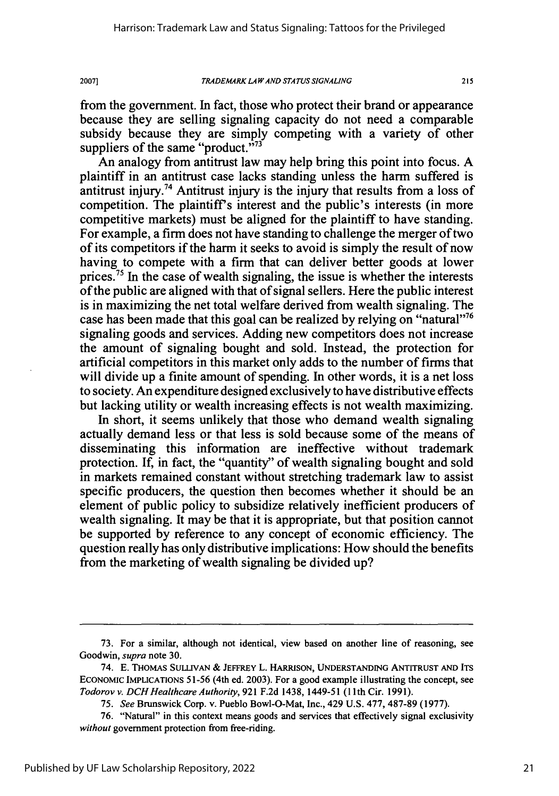from the government. In fact, those who protect their brand or appearance because they are selling signaling capacity do not need a comparable subsidy because they are simply competing with a variety of other suppliers of the same "product." $773$ 

An analogy from antitrust law may help bring this point into focus. A plaintiff in an antitrust case lacks standing unless the harm suffered is antitrust injury.<sup>74</sup> Antitrust injury is the injury that results from a loss of competition. The plaintiff's interest and the public's interests (in more competitive markets) must be aligned for the plaintiff to have standing. For example, a firm does not have standing to challenge the merger of two of its competitors if the harm it seeks to avoid is simply the result of now having to compete with a firm that can deliver better goods at lower prices.<sup>75</sup> In the case of wealth signaling, the issue is whether the interests of the public are aligned with that of signal sellers. Here the public interest is in maximizing the net total welfare derived from wealth signaling. The case has been made that this goal can be realized by relying on "natural"<sup>76</sup> signaling goods and services. Adding new competitors does not increase the amount of signaling bought and sold. Instead, the protection for artificial competitors in this market only adds to the number of firms that will divide up a finite amount of spending. In other words, it is a net loss to society. An expenditure designed exclusively to have distributive effects but lacking utility or wealth increasing effects is not wealth maximizing.

In short, it seems unlikely that those who demand wealth signaling actually demand less or that less is sold because some of the means of disseminating this information are ineffective without trademark protection. If, in fact, the "quantity" of wealth signaling bought and sold in markets remained constant without stretching trademark law to assist specific producers, the question then becomes whether it should be an element of public policy to subsidize relatively inefficient producers of wealth signaling. It may be that it is appropriate, but that position cannot be supported by reference to any concept of economic efficiency. The question really has only distributive implications: How should the benefits from the marketing of wealth signaling be divided up?

<sup>73.</sup> For a similar, although not identical, view based on another line of reasoning, see Goodwin, *supra* note 30.

<sup>74.</sup> E. THoMAs **SULLIVAN** & **JEFFREY** L. HARRISON, **UNDERSTANDING ANTITRUST AND ITS** ECONOMIC IMPLICATIONS 51-56 (4th ed. 2003). For a good example illustrating the concept, see *Todorov v. DCHHealthcare Authority,* 921 F.2d 1438, 1449-51 (1Ith Cir. 1991).

<sup>75.</sup> *See* Brunswick Corp. v. Pueblo Bowl-O-Mat, Inc., 429 U.S. 477, 487-89 (1977).

<sup>76. &</sup>quot;Natural" in this context means goods and services that effectively signal exclusivity *without* government protection from free-riding.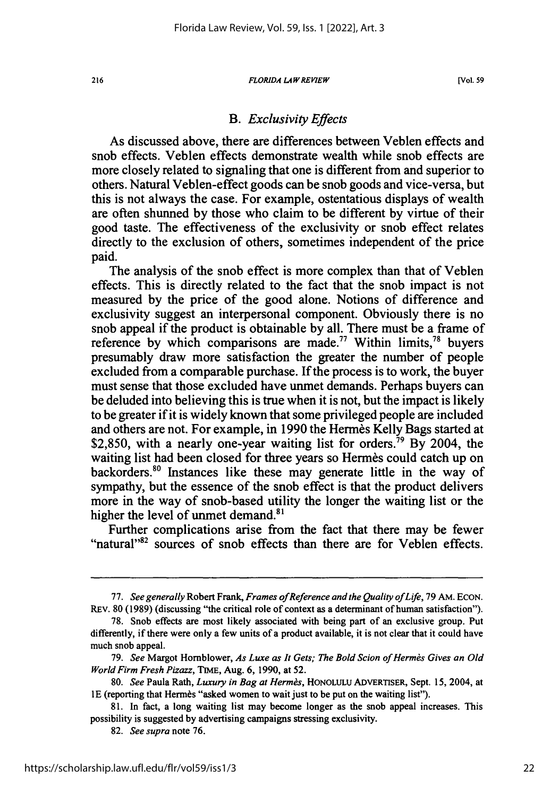#### *FLORIDA LAW REVIEW*

### *B. Exclusivity Effects*

As discussed above, there are differences between Veblen effects and snob effects. Veblen effects demonstrate wealth while snob effects are more closely related to signaling that one is different from and superior to others. Natural Veblen-effect goods can be snob goods and vice-versa, but this is not always the case. For example, ostentatious displays of wealth are often shunned by those who claim to be different by virtue of their good taste. The effectiveness of the exclusivity or snob effect relates directly to the exclusion of others, sometimes independent of the price paid.

The analysis of the snob effect is more complex than that of Veblen effects. This is directly related to the fact that the snob impact is not measured by the price of the good alone. Notions of difference and exclusivity suggest an interpersonal component. Obviously there is no snob appeal if the product is obtainable by all. There must be a frame of reference by which comparisons are made.<sup>77</sup> Within limits,<sup>78</sup> buyers presumably draw more satisfaction the greater the number of people excluded from a comparable purchase. If the process is to work, the buyer must sense that those excluded have unmet demands. Perhaps buyers can be deluded into believing this is true when it is not, but the impact is likely to be greater if it is widely known that some privileged people are included and others are not. For example, in 1990 the Hermes Kelly Bags started at \$2,850, with a nearly one-year waiting list for orders.<sup>79</sup> By 2004, the waiting list had been closed for three years so Hermes could catch up on backorders.<sup>80</sup> Instances like these may generate little in the way of sympathy, but the essence of the snob effect is that the product delivers more in the way of snob-based utility the longer the waiting list or the higher the level of unmet demand.<sup>81</sup>

Further complications arise from the fact that there may be fewer "Tuttier complications arise from the fact that there may be fewer<br>"natural"<sup>32</sup> sources of snob effects than there are for Veblen effects.

216

<sup>77.</sup> *See generally* Robert Frank, *Frames ofReference and the Quality of Life,* 79 AM. ECON. RFv. 80 (1989) (discussing "the critical role of context as a determinant of human satisfaction").

<sup>78.</sup> Snob effects are most likely associated with being part of an exclusive group. Put differently, if there were only a few units of a product available, it is not clear that it could have much snob appeal.

<sup>79.</sup> *See* Margot Homblower, *As Luxe as It Gets; The Bold Scion of Herms Gives an Old World Firm Fresh Pizazz,* TIME, Aug. 6, 1990, at 52.

<sup>80.</sup> *See* Paula Rath, *Luxury in Bag at Herrn&,* HONOLULU ADVERTISER, Sept. 15, 2004, at 1E (reporting that Hermès "asked women to wait just to be put on the waiting list").

<sup>81.</sup> In fact, a long waiting list may become longer as the snob appeal increases. This possibility is suggested by advertising campaigns stressing exclusivity.

<sup>82.</sup> *See supra* note 76.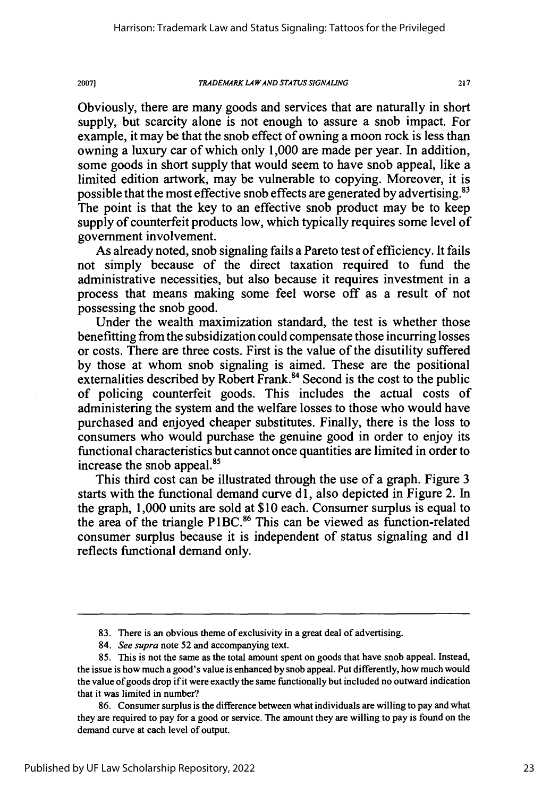*TRADEMARK LA WAND STATUS SIGNALING*

20071

217

Obviously, there are many goods and services that are naturally in short supply, but scarcity alone is not enough to assure a snob impact. For example, it may be that the snob effect of owning a moon rock is less than owning a luxury car of which only 1,000 are made per year. In addition, some goods in short supply that would seem to have snob appeal, like a limited edition artwork, may be vulnerable to copying. Moreover, it is possible that the most effective snob effects are generated by advertising.<sup>83</sup> The point is that the key to an effective snob product may be to keep supply of counterfeit products low, which typically requires some level of government involvement.

As already noted, snob signaling fails a Pareto test of efficiency. It fails not simply because of the direct taxation required to fund the administrative necessities, but also because it requires investment in a process that means making some feel worse off as a result of not possessing the snob good.

Under the wealth maximization standard, the test is whether those benefitting from the subsidization could compensate those incurring losses or costs. There are three costs. First is the value of the disutility suffered by those at whom snob signaling is aimed. These are the positional externalities described by Robert Frank.<sup>84</sup> Second is the cost to the public of policing counterfeit goods. This includes the actual costs of administering the system and the welfare losses to those who would have purchased and enjoyed cheaper substitutes. Finally, there is the loss to consumers who would purchase the genuine good in order to enjoy its functional characteristics but cannot once quantities are limited in order to increase the snob appeal.

This third cost can be illustrated through the use of a graph. Figure 3 starts with the functional demand curve d<sub>1</sub>, also depicted in Figure 2. In the graph, 1,000 units are sold at \$10 each. Consumer surplus is equal to the area of the triangle P1 **BC.86** This can be viewed as function-related consumer surplus because it is independent of status signaling and dl reflects functional demand only.

<sup>83.</sup> There is an obvious theme of exclusivity in a great deal of advertising.

<sup>84.</sup> *See supra* note 52 and accompanying text.

<sup>85.</sup> This is not the same as the total amount spent on goods that have snob appeal. Instead, the issue is how much a good's value is enhanced by snob appeal. Put differently, how much would the value of goods drop if it were exactly the same functionally but included no outward indication that it was limited in number?

<sup>86.</sup> Consumer surplus is the difference between what individuals are willing to pay and what they are required to pay for a good or service. The amount they are willing to pay is found on the demand curve at each level of output.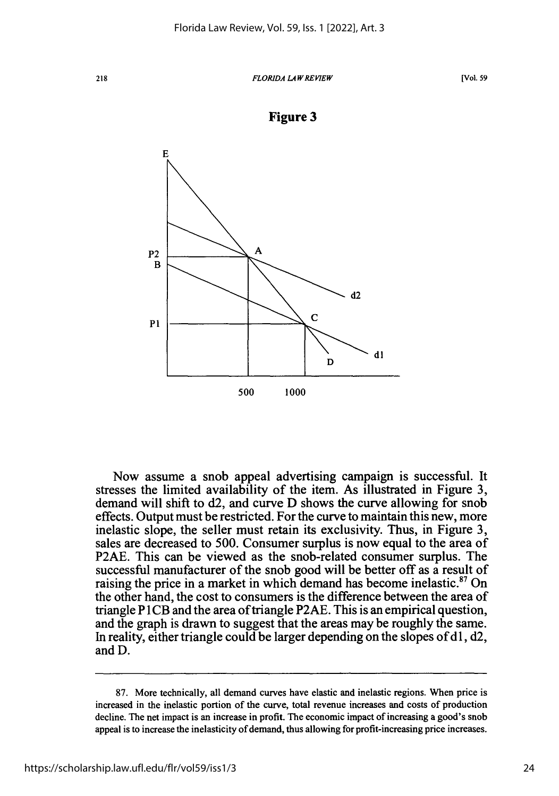### *FLORIDA LAWREVIEW*





Now assume a snob appeal advertising campaign is successful. It stresses the limited availability of the item. As illustrated in Figure 3, demand will shift to d2, and curve D shows the curve allowing for snob effects. Output must be restricted. For the curve to maintain this new, more inelastic slope, the seller must retain its exclusivity. Thus, in Figure 3, sales are decreased to 500. Consumer surplus is now equal to the area of P2AE. This can be viewed as the snob-related consumer surplus. The successful manufacturer of the snob good will be better off as a result of raising the price in a market in which demand has become inelastic. $87$  On the other hand, the cost to consumers is the difference between the area of triangle P 1CB and the area of triangle P2AE. This is an empirical question, and the graph is drawn to suggest that the areas may be roughly the same. In reality, either triangle could be larger depending on the slopes of  $d1, d2$ , and D.

218

<sup>87.</sup> More technically, all demand curves have elastic and inelastic regions. When price is increased in the inelastic portion of the curve, total revenue increases and costs of production decline. The net impact is an increase in profit. The economic impact of increasing a good's snob appeal is to increase the inelasticity of demand, thus allowing for profit-increasing price increases.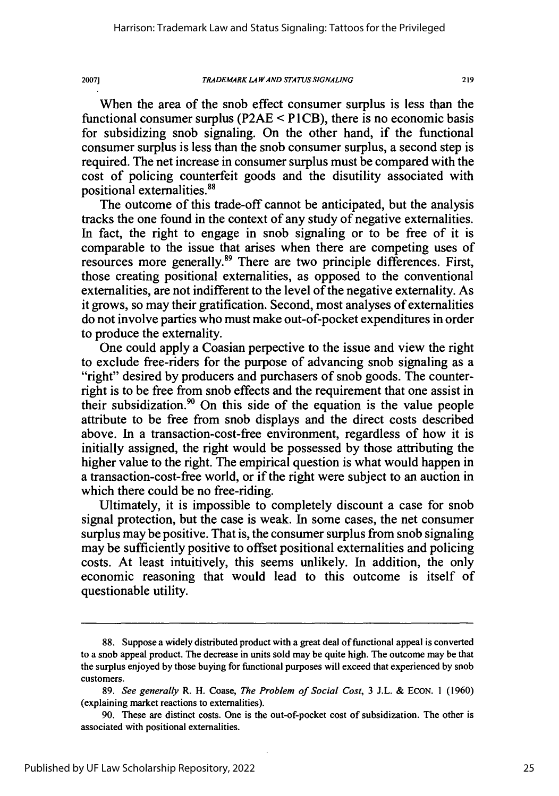### *TRADEMARK LA WAND STATUS* **SIGNALING**

When the area of the snob effect consumer surplus is less than the functional consumer surplus **(P2AE <** P **1** CB), there is no economic basis for subsidizing snob signaling. On the other hand, if the functional consumer surplus is less than the snob consumer surplus, a second step is required. The net increase in consumer surplus must be compared with the cost of policing counterfeit goods and the disutility associated with positional externalities.<sup>88</sup>

The outcome of this trade-off cannot be anticipated, but the analysis tracks the one found in the context of any study of negative externalities. In fact, the right to engage in snob signaling or to be free of it is comparable to the issue that arises when there are competing uses of resources more generally.<sup>89</sup> There are two principle differences. First, those creating positional externalities, as opposed to the conventional externalities, are not indifferent to the level of the negative externality. As it grows, so may their gratification. Second, most analyses of externalities do not involve parties who must make out-of-pocket expenditures in order to produce the externality.

One could apply a Coasian perpective to the issue and view the right to exclude free-riders for the purpose of advancing snob signaling as a "right" desired **by** producers and purchasers of snob goods. The counterright is to be free from snob effects and the requirement that one assist in their subsidization.<sup>90</sup> On this side of the equation is the value people attribute to be free from snob displays and the direct costs described above. In a transaction-cost-free environment, regardless of how it is initially assigned, the right would be possessed **by** those attributing the higher value to the right. The empirical question is what would happen in a transaction-cost-free world, or if the right were subject to an auction in which there could be no free-riding.

Ultimately, it is impossible to completely discount a case for snob signal protection, but the case is weak. In some cases, the net consumer surplus may be positive. That is, the consumer surplus from snob signaling may be sufficiently positive to offset positional externalities and policing costs. At least intuitively, this seems unlikely. In addition, the only economic reasoning that would lead to this outcome is itself of questionable utility.

**<sup>88.</sup>** Suppose a widely distributed product with a great deal of functional appeal is converted to a snob appeal product. The decrease in units sold may be quite high. The outcome may be that the surplus enjoyed **by** those buying for functional purposes will exceed that experienced **by** snob customers.

**<sup>89.</sup>** *See generally* R. H. Coase, *The Problem of Social Cost,* **3 J.L. & ECON. 1 (1960)** (explaining market reactions to externalities).

**<sup>90.</sup>** These are distinct costs. One is the out-of-pocket cost of subsidization. The other is associated with positional externalities.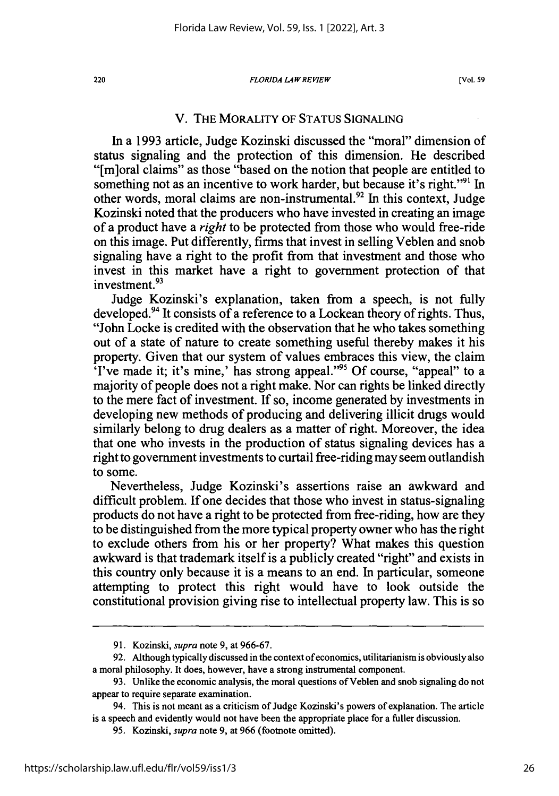#### *FLORIDA LAWREVIEW*

### V. THE MORALITY OF STATUS SIGNALING

In a 1993 article, Judge Kozinski discussed the "moral" dimension of status signaling and the protection of this dimension. He described "[m]oral claims" as those "based on the notion that people are entitled to something not as an incentive to work harder, but because it's right."<sup>91</sup> In other words, moral claims are non-instrumental.<sup>92</sup> In this context, Judge Kozinski noted that the producers who have invested in creating an image of a product have a *right* to be protected from those who would free-ride on this image. Put differently, firms that invest in selling Veblen and snob signaling have a right to the profit from that investment and those who invest in this market have a right to government protection of that investment.<sup>93</sup>

Judge Kozinski's explanation, taken from a speech, is not fully developed.<sup>94</sup> It consists of a reference to a Lockean theory of rights. Thus, "John Locke is credited with the observation that he who takes something out of a state of nature to create something useful thereby makes it his property. Given that our system of values embraces this view, the claim 'I've made it; it's mine,' has strong appeal."'95 Of course, "appeal" to a majority of people does not a right make. Nor can rights be linked directly to the mere fact of investment. If so, income generated by investments in developing new methods of producing and delivering illicit drugs would similarly belong to drug dealers as a matter of right. Moreover, the idea that one who invests in the production of status signaling devices has a right to government investments to curtail free-riding may seem outlandish to some.

Nevertheless, Judge Kozinski's assertions raise an awkward and difficult problem. If one decides that those who invest in status-signaling products do not have a right to be protected from free-riding, how are they to be distinguished from the more typical property owner who has the right to exclude others from his or her property? What makes this question awkward is that trademark itself is a publicly created "right" and exists in this country only because it is a means to an end. In particular, someone attempting to protect this right would have to look outside the constitutional provision giving rise to intellectual property law. This is so

<sup>91.</sup> Kozinski, *supra* note 9, at 966-67.

<sup>92.</sup> Although typically discussed in the context of economics, utilitarianism is obviously also a moral philosophy. It does, however, have a strong instrumental component.

<sup>93.</sup> Unlike the economic analysis, the moral questions of Veblen and snob signaling do not appear to require separate examination.

<sup>94.</sup> This is not meant as a criticism of Judge Kozinski's powers of explanation. The article is a speech and evidently would not have been the appropriate place for a fuller discussion.

<sup>95.</sup> Kozinski, *supra* note 9, at 966 (footnote omitted).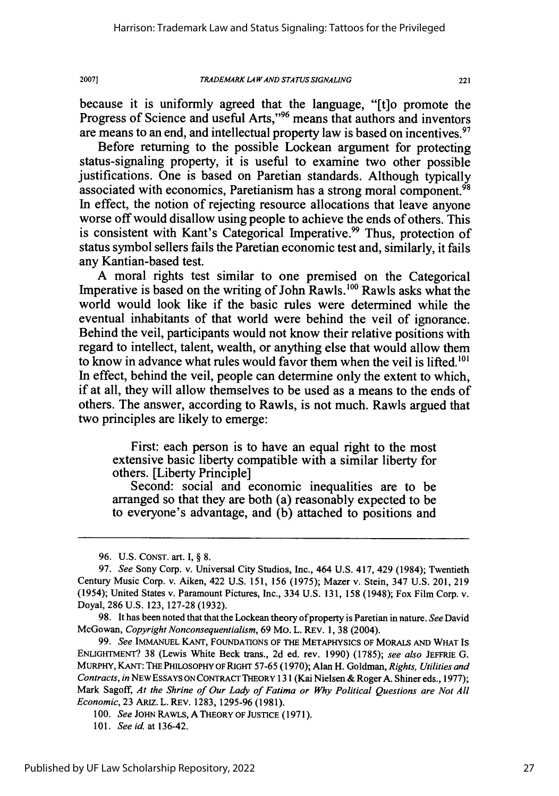2007]

because it is uniformly agreed that the language, "[t]o promote the Progress of Science and useful Arts,"<sup>96</sup> means that authors and inventors are means to an end, and intellectual property law is based on incentives.<sup>97</sup>

Before returning to the possible Lockean argument for protecting status-signaling property, it is useful to examine two other possible justifications. One is based on Paretian standards. Although typically associated with economics, Paretianism has a strong moral component.<sup>98</sup> In effect, the notion of rejecting resource allocations that leave anyone worse off would disallow using people to achieve the ends of others. This is consistent with Kant's Categorical Imperative.<sup>99</sup> Thus, protection of status symbol sellers fails the Paretian economic test and, similarly, it fails any Kantian-based test.

A moral rights test similar to one premised on the Categorical Imperative is based on the writing of John Rawls.<sup>100</sup> Rawls asks what the world would look like if the basic rules were determined while the eventual inhabitants of that world were behind the veil of ignorance. Behind the veil, participants would not know their relative positions with regard to intellect, talent, wealth, or anything else that would allow them to know in advance what rules would favor them when the veil is lifted.'01 In effect, behind the veil, people can determine only the extent to which, if at all, they will allow themselves to be used as a means to the ends of others. The answer, according to Rawls, is not much. Rawls argued that two principles are likely to emerge:

First: each person is to have an equal right to the most extensive basic liberty compatible with a similar liberty for others. [Liberty Principle]

Second: social and economic inequalities are to be arranged so that they are both (a) reasonably expected to be to everyone's advantage, and (b) attached to positions and

<sup>96.</sup> U.S. CONST. art. I, § 8.

<sup>97.</sup> *See* Sony Corp. v. Universal City Studios, Inc., 464 U.S. 417, 429 (1984); Twentieth Century Music Corp. v. Aiken, 422 U.S. 151, 156 (1975); Mazer v. Stein, 347 U.S. 201, 219 (1954); United States v. Paramount Pictures, Inc., 334 U.S. 131, 158 (1948); Fox Film Corp. v. Doyal, 286 U.S. 123, 127-28 (1932).

<sup>98.</sup> It has been noted that that the Lockean theory of property is Paretian in nature. *See* David McGowan, *Copyright Nonconsequentialism,* 69 Mo. L. REV. 1, 38 (2004).

<sup>99.</sup> *See* IMMANUEL **KANT,** FOUNDATIONS OF THE METAPHYSICS OF MORALS **AND** WHAT IS ENLIGHTMENT? 38 (Lewis White Beck trans., 2d ed. rev. 1990) (1785); *see also* JEFFRIE G. MURPHY, **KANT:** THE PHILOSOPHY OF **RJGHT** 57-65 (1970); Alan H. Goldman, *Rights, Utilities and Contracts,* in NEWESSAYS **ON CONTRACT** THEORY 131 (Kai Nielsen & Roger A. Shiner eds., 1977); Mark Sagoff, *At the Shrine of Our Lady of Fatima or Why Political Questions are Not All Economic,* 23 ARIz. L. REV. 1283, 1295-96 (1981).

*<sup>100.</sup> See* JOHN RAWLS, **A** THEORY OF JUSTICE (1971).

<sup>101.</sup> *See* id. at 136-42.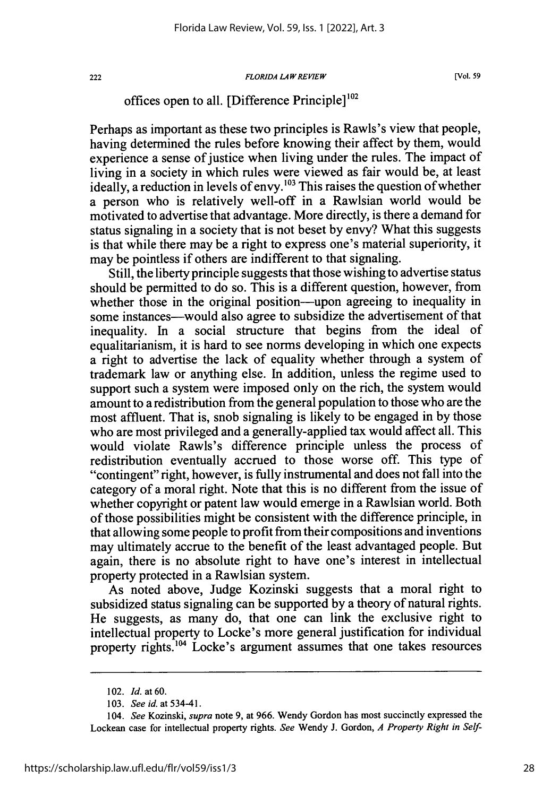### *FLORIDA LA W REVIEW*

**[Vol. 59**

# offices open to all. [Difference Principle]<sup>102</sup>

Perhaps as important as these two principles is Rawls's view that people, having determined the rules before knowing their affect by them, would experience a sense of justice when living under the rules. The impact of living in a society in which rules were viewed as fair would be, at least ideally, a reduction in levels of envy.<sup>103</sup> This raises the question of whether a person who is relatively well-off in a Rawlsian world would be motivated to advertise that advantage. More directly, is there a demand for status signaling in a society that is not beset by envy? What this suggests is that while there may be a right to express one's material superiority, it may be pointless if others are indifferent to that signaling.

Still, the liberty principle suggests that those wishing to advertise status should be permitted to do so. This is a different question, however, from whether those in the original position—upon agreeing to inequality in some instances-would also agree to subsidize the advertisement of that inequality. In a social structure that begins from the ideal of equalitarianism, it is hard to see norms developing in which one expects a right to advertise the lack of equality whether through a system of trademark law or anything else. In addition, unless the regime used to support such a system were imposed only on the rich, the system would amount to a redistribution from the general population to those who are the most affluent. That is, snob signaling is likely to be engaged in by those who are most privileged and a generally-applied tax would affect all. This would violate Rawls's difference principle unless the process of redistribution eventually accrued to those worse off. This type of "contingent" right, however, is fully instrumental and does not fall into the category of a moral right. Note that this is no different from the issue of whether copyright or patent law would emerge in a Rawlsian world. Both of those possibilities might be consistent with the difference principle, in that allowing some people to profit from their compositions and inventions may ultimately accrue to the benefit of the least advantaged people. But again, there is no absolute right to have one's interest in intellectual property protected in a Rawlsian system.

As noted above, Judge Kozinski suggests that a moral right to subsidized status signaling can be supported by a theory of natural rights. He suggests, as many do, that one can link the exclusive right to intellectual property to Locke's more general justification for individual property rights.<sup>104</sup> Locke's argument assumes that one takes resources

<sup>102.</sup> *Id.* at 60.

<sup>103.</sup> *See id.* at 534-41.

<sup>104.</sup> *See* Kozinski, *supra* note 9, at 966. Wendy Gordon has most succinctly expressed the Lockean case for intellectual property rights. *See* Wendy J. Gordon, *A Property Right in Self-*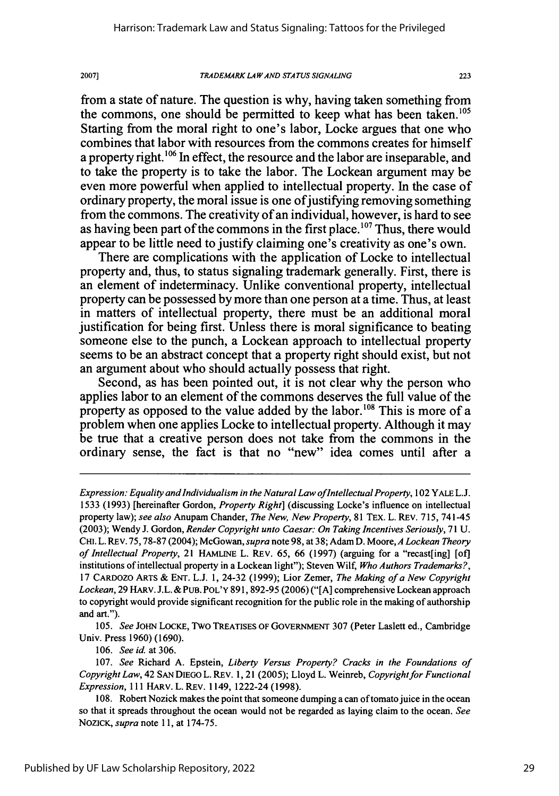### *TRADEMARK LA* WAND *STATUS SIGNALING* **2007] 223**

from a state of nature. The question is why, having taken something from the commons, one should be permitted to keep what has been taken.<sup>105</sup> Starting from the moral right to one's labor, Locke argues that one who combines that labor with resources from the commons creates for himself a property right.<sup>106</sup> In effect, the resource and the labor are inseparable, and to take the property is to take the labor. The Lockean argument may be even more powerful when applied to intellectual property. In the case of ordinary property, the moral issue is one of justifying removing something from the commons. The creativity of an individual, however, is hard to see as having been part of the commons in the first place.<sup>107</sup> Thus, there would appear to be little need to justify claiming one's creativity as one's own.

There are complications with the application of Locke to intellectual property and, thus, to status signaling trademark generally. First, there is an element of indeterminacy. Unlike conventional property, intellectual property can be possessed by more than one person at a time. Thus, at least in matters of intellectual property, there must be an additional moral justification for being first. Unless there is moral significance to beating someone else to the punch, a Lockean approach to intellectual property seems to be an abstract concept that a property right should exist, but not an argument about who should actually possess that right.

Second, as has been pointed out, it is not clear why the person who applies labor to an element of the commons deserves the full value of the property as opposed to the value added by the labor.<sup>108</sup> This is more of a problem when one applies Locke to intellectual property. Although it may be true that a creative person does not take from the commons in the ordinary sense, the fact is that no "new" idea comes until after a

105. *See* JOHN LOCKE, Two TREATISES OF GOVERNMENT 307 (Peter Laslett ed., Cambridge Univ. Press 1960) (1690).

106. *See id.* at 306.

*Expression: Equality and Individualism in the Natural Law of Intellectual Property,* 102 YALE L.J. 1533 (1993) [hereinafter Gordon, *Property Right]* (discussing Locke's influence on intellectual property law); *see also* Anupam Chander, *The New, New Property,* 81 TEx. L. REV. 715, 741-45 (2003); Wendy J. Gordon, *Render Copyright unto Caesar: On Taking Incentives Seriously,* 71 U. CHI. L. REV. 75, 78-87 (2004); McGowan, *supra* note 98, at 38; Adam **D.** Moore, *A Lockean Theory of Intellectual Property,* 21 HAMLINE L. REV. 65, 66 (1997) (arguing for a "recast[ing] [of] institutions of intellectual property in a Lockean light"); Steven Wilf, *Who Authors Trademarks?,* 17 CARDOzO ARTS & ENT. L.J. 1, 24-32 (1999); Lior Zemer, *The Making of a New Copyright* Lockean, 29 HARV. J.L. & PUB. POL'Y 891, 892-95 (2006) ("[A] comprehensive Lockean approach to copyright would provide significant recognition for the public role in the making of authorship and art.").

<sup>107.</sup> *See* Richard A. Epstein, *Liberty Versus Property? Cracks in the Foundations of Copyright Law,* 42 SAN DIEGO L. REV. 1,21 (2005); Lloyd L. Weinreb, *Copyright for Functional Expression,* 111 HARv. L. REv. 1149, 1222-24 (1998).

<sup>108.</sup> Robert Nozick makes the point that someone dumping a can of tomato juice in the ocean so that it spreads throughout the ocean would not be regarded as laying claim to the ocean. *See* NOZICK, *supra* note 11, at 174-75.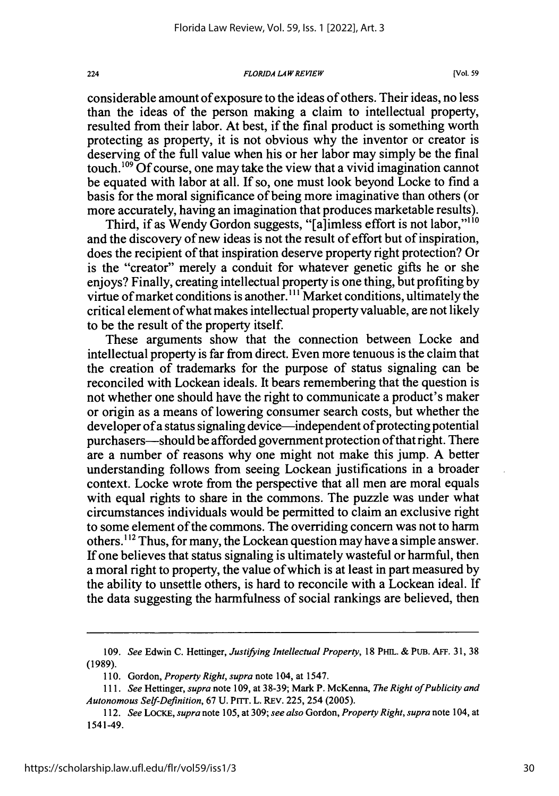#### *FLORIDA LAW REVIEW*

considerable amount of exposure to the ideas of others. Their ideas, no less than the ideas of the person making a claim to intellectual property, resulted from their labor. At best, if the final product is something worth protecting as property, it is not obvious why the inventor or creator is deserving of the full value when his or her labor may simply be the final touch.<sup>109</sup> Of course, one may take the view that a vivid imagination cannot be equated with labor at all. If so, one must look beyond Locke to find a basis for the moral significance of being more imaginative than others (or more accurately, having an imagination that produces marketable results).

Third, if as Wendy Gordon suggests, "[a]imless effort is not labor,"<sup>110</sup> and the discovery of new ideas is not the result of effort but of inspiration, does the recipient of that inspiration deserve property right protection? Or is the "creator" merely a conduit for whatever genetic gifts he or she enjoys? Finally, creating intellectual property is one thing, but profiting by virtue of market conditions is another."' Market conditions, ultimately the critical element of what makes intellectual property valuable, are not likely to be the result of the property itself.

These arguments show that the connection between Locke and intellectual property is far from direct. Even more tenuous is the claim that the creation of trademarks for the purpose of status signaling can be reconciled with Lockean ideals. It bears remembering that the question is not whether one should have the right to communicate a product's maker or origin as a means of lowering consumer search costs, but whether the developer of a status signaling device—independent of protecting potential purchasers—should be afforded government protection of that right. There are a number of reasons why one might not make this jump. A better understanding follows from seeing Lockean justifications in a broader context. Locke wrote from the perspective that all men are moral equals with equal rights to share in the commons. The puzzle was under what circumstances individuals would be permitted to claim an exclusive right to some element of the commons. The overriding concern was not to harm others.'12 Thus, for many, the Lockean question may have a simple answer. If one believes that status signaling is ultimately wasteful or harmful, then a moral right to property, the value of which is at least in part measured by the ability to unsettle others, is hard to reconcile with a Lockean ideal. If the data suggesting the harmfulness of social rankings are believed, then

<sup>109.</sup> *See* Edwin C. Hettinger, *Justifying Intellectual Property,* 18 PHIL. & PuB. AFF. 31, 38 (1989).

<sup>110.</sup> Gordon, *Property Right, supra* note 104, at 1547.

*<sup>111.</sup> See* Hettinger, *supra* note 109, at 38-39; Mark P. McKenna, *The Right of Publicity and Autonomous* Self-Definition, 67 U. PITT. L. REV. 225, 254 (2005).

*<sup>112.</sup> See LOCKE, supra* note 105, at 309; *see also* Gordon, *Property Right, supra* note 104, at 1541-49.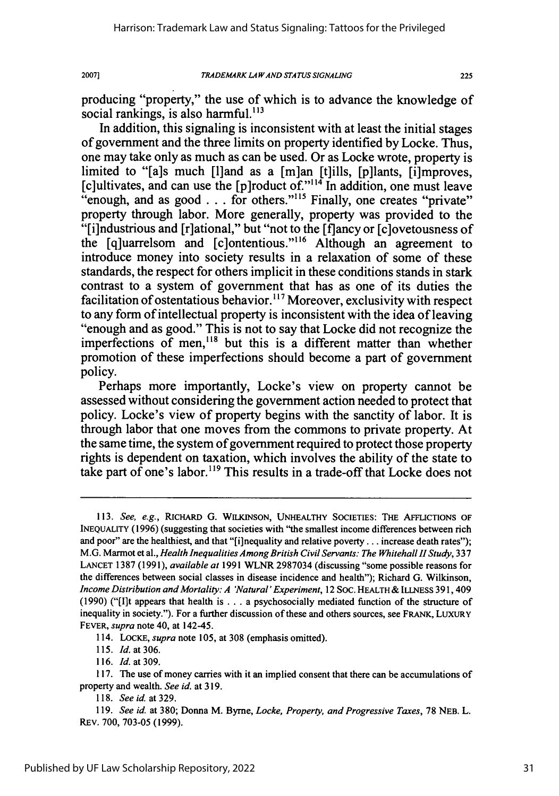225

producing "property," the use of which is to advance the knowledge of social rankings, is also harmful.<sup>113</sup>

In addition, this signaling is inconsistent with at least the initial stages of government and the three limits on property identified by Locke. Thus, one may take only as much as can be used. Or as Locke wrote, property is limited to "[a]s much [l]and as a [m]an [t]ills, [p]lants, [i]mproves, [c]ultivates, and can use the [p]roduct of."<sup>114</sup> In addition, one must leave [c]ultivates, and can use the [p]roduct of."114 In addition, one must leave "enough, and as good **...** for others.""' 5 Finally, one creates "private" property through labor. More generally, property was provided to the "[i]ndustrious and [r]ational," but "not to the [flancy or [c]ovetousness of the [q]uarrelsom and [c]ontentious."<sup>116</sup> Although an agreement to introduce money into society results in a relaxation of some of these standards, the respect for others implicit in these conditions stands in stark contrast to a system of government that has as one of its duties the facilitation of ostentatious behavior.<sup>117</sup> Moreover, exclusivity with respect to any form of intellectual property is inconsistent with the idea of leaving "enough and as good." This is not to say that Locke did not recognize the imperfections of men,<sup>118</sup> but this is a different matter than whether promotion of these imperfections should become a part of government policy.

Perhaps more importantly, Locke's view on property cannot be assessed without considering the government action needed to protect that policy. Locke's view of property begins with the sanctity of labor. It is through labor that one moves from the commons to private property. At the same time, the system of government required to protect those property rights is dependent on taxation, which involves the ability of the state to take part of one's labor.<sup>119</sup> This results in a trade-off that Locke does not

114. LOCKE, *supra* note 105, at **308** (emphasis omitted).

115. *Id.* at306.

116. *Id.* at 309.

**118.** *Seeid.at329.*

<sup>113.</sup> *See, e.g.,* RICHARD G. WILKINSON, UNHEALTHY SOCIETIES: THE AFFLICTIONS OF INEQUALITY (1996) (suggesting that societies with "the smallest income differences between rich and poor" are the healthiest, and that "[i]nequality and relative poverty... increase death rates"); M.G. Marmot et al., *Health Inequalities Among British Civil Servants: The Whitehall I Study,* **337** LANCET **1387 (1991),** *available at* **1991** WLNR **2987034** (discussing "some possible reasons for the differences between social classes in disease incidence and health"); Richard **G.** Wilkinson, *Income Distribution and Mortality: A 'Natural' Experiment, 12 Soc. HEALTH & ILLNESS 391, 409* (1990) ("(I]t appears that health is **...** a psychosocially mediated function of the structure of inequality in society."). For a further discussion of these and others sources, see FRANK, LUXURY FEVER, *supra* note 40, at 142-45.

<sup>117.</sup> The use of money carries with it an implied consent that there can be accumulations of property and wealth. *See id.* at **319.**

**<sup>119.</sup>** *See* id. at **380;** Donna M. Byrne, *Locke, Property, and Progressive Taxes,* **78** NEB. L. REV. 700, 703-05 (1999).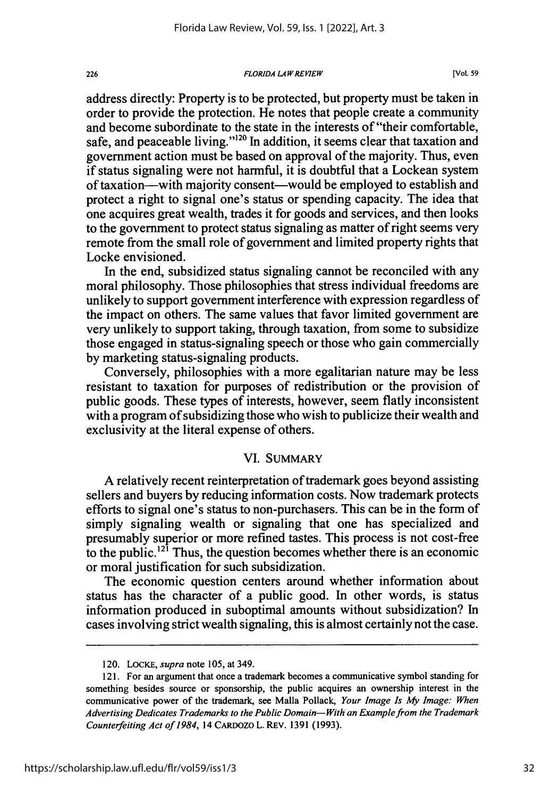#### *FLORIDA LA W REVIEW*

address directly: Property is to be protected, but property must be taken in order to provide the protection. He notes that people create a community and become subordinate to the state in the interests of "their comfortable, safe, and peaceable living."<sup>120</sup> In addition, it seems clear that taxation and government action must be based on approval of the majority. Thus, even if status signaling were not harmful, it is doubtful that a Lockean system of taxation-with majority consent-would be employed to establish and protect a right to signal one's status or spending capacity. The idea that one acquires great wealth, trades it for goods and services, and then looks to the government to protect status signaling as matter of right seems very remote from the small role of government and limited property rights that Locke envisioned.

In the end, subsidized status signaling cannot be reconciled with any moral philosophy. Those philosophies that stress individual freedoms are unlikely to support government interference with expression regardless of the impact on others. The same values that favor limited government are very unlikely to support taking, through taxation, from some to subsidize those engaged in status-signaling speech or those who gain commercially by marketing status-signaling products.

Conversely, philosophies with a more egalitarian nature may be less resistant to taxation for purposes of redistribution or the provision of public goods. These types of interests, however, seem flatly inconsistent with a program of subsidizing those who wish to publicize their wealth and exclusivity at the literal expense of others.

### VI. SUMMARY

A relatively recent reinterpretation of trademark goes beyond assisting sellers and buyers by reducing information costs. Now trademark protects efforts to signal one's status to non-purchasers. This can be in the form of simply signaling wealth or signaling that one has specialized and presumably superior or more refined tastes. This process is not cost-free to the public.<sup> $12\hat{i}$ </sup> Thus, the question becomes whether there is an economic or moral justification for such subsidization.

The economic question centers around whether information about status has the character of a public good. In other words, is status information produced in suboptimal amounts without subsidization? In cases involving strict wealth signaling, this is almost certainly not the case.

226

<sup>120.</sup> LoCKE, *supra* note 105, at 349.

<sup>121.</sup> For an argument that once a trademark becomes a communicative symbol standing for something besides source or sponsorship, the public acquires an ownership interest in the communicative power of the trademark, see Malla Pollack, *Your Image Is* **My** *Image: When* Advertising Dedicates Trademarks to the Public Domain-With an Example from the Trademark Counterfeiting Act of 1984, 14 CARDozo L. REv. 1391 (1993).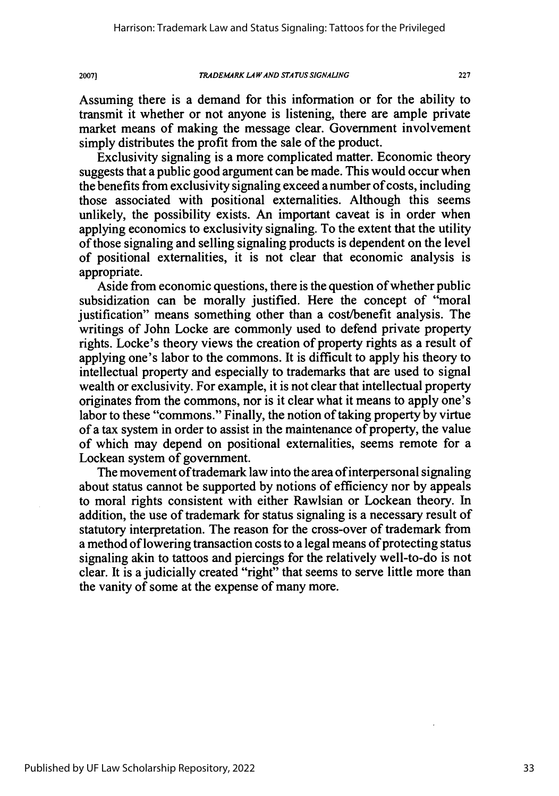Assuming there is a demand for this information or for the ability to transmit it whether or not anyone is listening, there are ample private market means of making the message clear. Government involvement simply distributes the profit from the sale of the product.

Exclusivity signaling is a more complicated matter. Economic theory suggests that a public good argument can be made. This would occur when the benefits from exclusivity signaling exceed a number of costs, including those associated with positional externalities. Although this seems unlikely, the possibility exists. An important caveat is in order when applying economics to exclusivity signaling. To the extent that the utility of those signaling and selling signaling products is dependent on the level of positional externalities, it is not clear that economic analysis is appropriate.

Aside from economic questions, there is the question of whether public subsidization can be morally justified. Here the concept of "moral justification" means something other than a cost/benefit analysis. The writings of John Locke are commonly used to defend private property rights. Locke's theory views the creation of property rights as a result of applying one's labor to the commons. It is difficult to apply his theory to intellectual property and especially to trademarks that are used to signal wealth or exclusivity. For example, it is not clear that intellectual property originates from the commons, nor is it clear what it means to apply one's labor to these "commons." Finally, the notion of taking property by virtue of a tax system in order to assist in the maintenance of property, the value of which may depend on positional externalities, seems remote for a Lockean system of government.

The movement of trademark law into the area of interpersonal signaling about status cannot be supported by notions of efficiency nor by appeals to moral rights consistent with either Rawlsian or Lockean theory. In addition, the use of trademark for status signaling is a necessary result of statutory interpretation. The reason for the cross-over of trademark from a method of lowering transaction costs to a legal means of protecting status signaling akin to tattoos and piercings for the relatively well-to-do is not clear. It is a judicially created "right" that seems to serve little more than the vanity of some at the expense of many more.